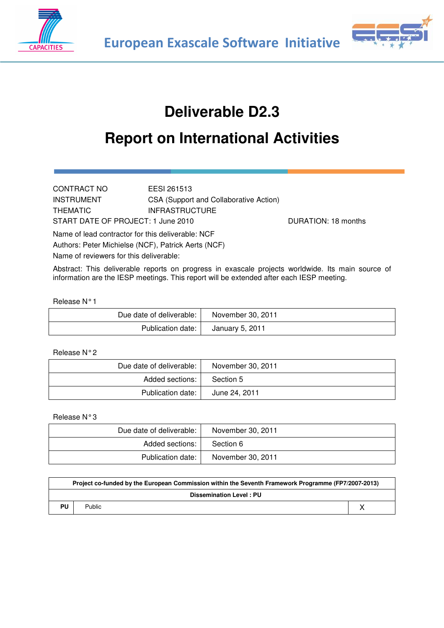



# **Deliverable D2.3**

# **Report on International Activities**

CONTRACT NO EESI 261513 INSTRUMENT CSA (Support and Collaborative Action) THEMATIC **INFRASTRUCTURE** START DATE OF PROJECT: 1 June 2010 DURATION: 18 months

Name of lead contractor for this deliverable: NCF Authors: Peter Michielse (NCF), Patrick Aerts (NCF) Name of reviewers for this deliverable:

Abstract: This deliverable reports on progress in exascale projects worldwide. Its main source of information are the IESP meetings. This report will be extended after each IESP meeting.

#### Release N° 1

| Due date of deliverable: | November 30, 2011 |
|--------------------------|-------------------|
| Publication date:        | January 5, 2011   |

#### Release N° 2

| Due date of deliverable: | November 30, 2011 |
|--------------------------|-------------------|
| Added sections:          | Section 5         |
| Publication date:        | June 24, 2011     |

Release N° 3

| Due date of deliverable: | November 30, 2011 |
|--------------------------|-------------------|
| Added sections:          | Section 6         |
| Publication date:        | November 30, 2011 |

| Project co-funded by the European Commission within the Seventh Framework Programme (FP7/2007-2013) |                                |  |  |  |  |  |
|-----------------------------------------------------------------------------------------------------|--------------------------------|--|--|--|--|--|
|                                                                                                     | <b>Dissemination Level: PU</b> |  |  |  |  |  |
| PU                                                                                                  | Public                         |  |  |  |  |  |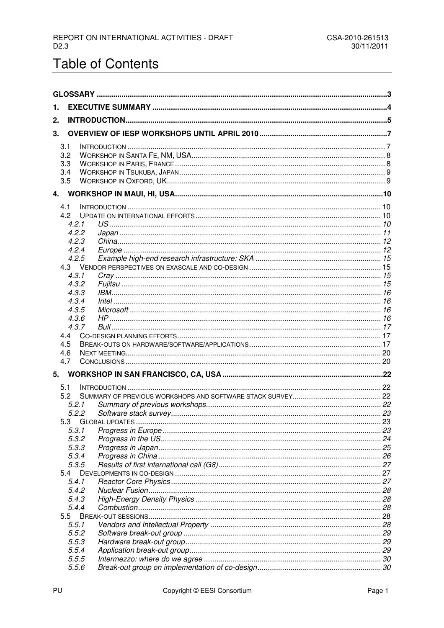# **Table of Contents**

| 1.  |                |                     |  |
|-----|----------------|---------------------|--|
| 2.  |                |                     |  |
|     |                |                     |  |
| 3.  |                |                     |  |
| 3.1 |                |                     |  |
|     | 3.2            |                     |  |
|     | 3.3<br>3.4     |                     |  |
|     | 3.5            |                     |  |
|     |                |                     |  |
|     |                |                     |  |
|     | 4.1            |                     |  |
|     | 4.2            |                     |  |
|     | 4.2.1<br>4.2.2 |                     |  |
|     | 4.2.3          |                     |  |
|     | 4.2.4          |                     |  |
|     | 4.2.5          |                     |  |
|     |                |                     |  |
|     | 4.3.1          |                     |  |
|     | 4.3.2          |                     |  |
|     | 4.3.3          |                     |  |
|     | 4.3.4<br>4.3.5 |                     |  |
|     | 4.3.6          |                     |  |
|     | 4.3.7          |                     |  |
|     | 4.4            |                     |  |
|     | 4.5            |                     |  |
|     | 4.6            |                     |  |
|     | 4.7            |                     |  |
|     |                |                     |  |
|     | 5.1            |                     |  |
|     | 5.2            |                     |  |
|     | 5.2.1          |                     |  |
|     | 5.2.2          |                     |  |
|     | 5.3.1          | 5.3 GLOBAL UPDATES. |  |
|     | 5.3.2          |                     |  |
|     | 5.3.3          |                     |  |
|     | 5.3.4          |                     |  |
|     | 5.3.5          |                     |  |
|     | 5.4            |                     |  |
|     | 5.4.1          |                     |  |
|     | 5.4.2          |                     |  |
|     | 5.4.3<br>5.4.4 |                     |  |
|     | 5.5            |                     |  |
|     | 5.5.1          |                     |  |
|     | 5.5.2          |                     |  |
|     | 5.5.3          |                     |  |
|     | 5.5.4          |                     |  |
|     | 5.5.5          |                     |  |
|     | 5.5.6          |                     |  |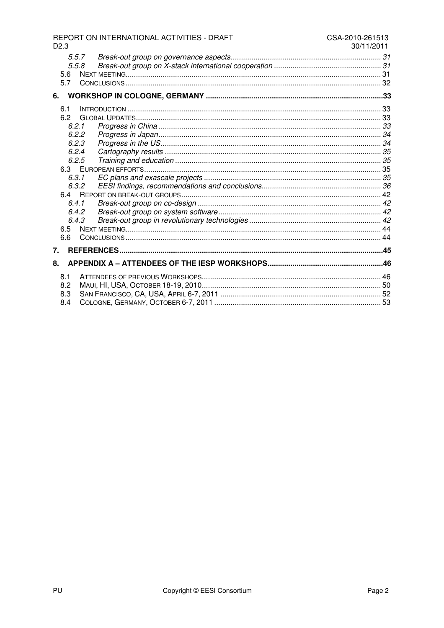|                                                                                                                   | REPORT ON INTERNATIONAL ACTIVITIES - DRAFT | CSA-2010-261513<br>30/11/2011 |
|-------------------------------------------------------------------------------------------------------------------|--------------------------------------------|-------------------------------|
| D <sub>2.3</sub><br>5.5.7<br>5.5.8                                                                                |                                            |                               |
| 5.6<br>5.7                                                                                                        |                                            |                               |
| 6.                                                                                                                |                                            |                               |
| 6.1<br>62<br>6.2.1<br>6.2.2<br>6.2.3<br>6.2.4<br>6.2.5<br>6.3.1<br>6.3.2<br>6.4.1<br>6.4.2<br>6.4.3<br>6.5<br>6.6 |                                            |                               |
| 7.                                                                                                                |                                            |                               |
| 8.                                                                                                                |                                            |                               |
| 8.1<br>8.2<br>8.3<br>8.4                                                                                          |                                            |                               |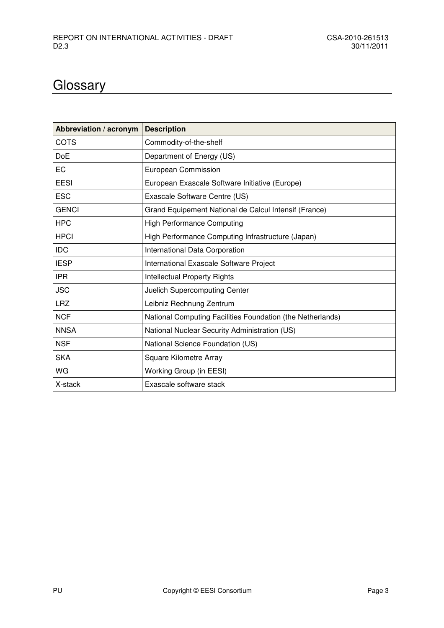# **Glossary**

| Abbreviation / acronym | <b>Description</b>                                         |
|------------------------|------------------------------------------------------------|
| <b>COTS</b>            | Commodity-of-the-shelf                                     |
| <b>DoE</b>             | Department of Energy (US)                                  |
| <b>EC</b>              | European Commission                                        |
| <b>EESI</b>            | European Exascale Software Initiative (Europe)             |
| <b>ESC</b>             | Exascale Software Centre (US)                              |
| <b>GENCI</b>           | Grand Equipement National de Calcul Intensif (France)      |
| <b>HPC</b>             | <b>High Performance Computing</b>                          |
| <b>HPCI</b>            | High Performance Computing Infrastructure (Japan)          |
| <b>IDC</b>             | International Data Corporation                             |
| <b>IESP</b>            | International Exascale Software Project                    |
| <b>IPR</b>             | <b>Intellectual Property Rights</b>                        |
| <b>JSC</b>             | Juelich Supercomputing Center                              |
| <b>LRZ</b>             | Leibniz Rechnung Zentrum                                   |
| <b>NCF</b>             | National Computing Facilities Foundation (the Netherlands) |
| <b>NNSA</b>            | National Nuclear Security Administration (US)              |
| <b>NSF</b>             | National Science Foundation (US)                           |
| <b>SKA</b>             | Square Kilometre Array                                     |
| WG                     | Working Group (in EESI)                                    |
| X-stack                | Exascale software stack                                    |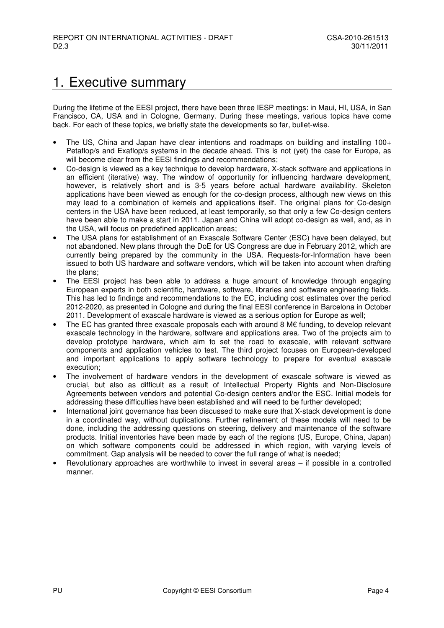## 1. Executive summary

During the lifetime of the EESI project, there have been three IESP meetings: in Maui, HI, USA, in San Francisco, CA, USA and in Cologne, Germany. During these meetings, various topics have come back. For each of these topics, we briefly state the developments so far, bullet-wise.

- The US, China and Japan have clear intentions and roadmaps on building and installing 100+ Petaflop/s and Exaflop/s systems in the decade ahead. This is not (yet) the case for Europe, as will become clear from the EESI findings and recommendations;
- Co-design is viewed as a key technique to develop hardware, X-stack software and applications in an efficient (iterative) way. The window of opportunity for influencing hardware development, however, is relatively short and is 3-5 years before actual hardware availability. Skeleton applications have been viewed as enough for the co-design process, although new views on this may lead to a combination of kernels and applications itself. The original plans for Co-design centers in the USA have been reduced, at least temporarily, so that only a few Co-design centers have been able to make a start in 2011. Japan and China will adopt co-design as well, and, as in the USA, will focus on predefined application areas;
- The USA plans for establishment of an Exascale Software Center (ESC) have been delayed, but not abandoned. New plans through the DoE for US Congress are due in February 2012, which are currently being prepared by the community in the USA. Requests-for-Information have been issued to both US hardware and software vendors, which will be taken into account when drafting the plans;
- The EESI project has been able to address a huge amount of knowledge through engaging European experts in both scientific, hardware, software, libraries and software engineering fields. This has led to findings and recommendations to the EC, including cost estimates over the period 2012-2020, as presented in Cologne and during the final EESI conference in Barcelona in October 2011. Development of exascale hardware is viewed as a serious option for Europe as well;
- The EC has granted three exascale proposals each with around 8  $M\epsilon$  funding, to develop relevant exascale technology in the hardware, software and applications area. Two of the projects aim to develop prototype hardware, which aim to set the road to exascale, with relevant software components and application vehicles to test. The third project focuses on European-developed and important applications to apply software technology to prepare for eventual exascale execution;
- The involvement of hardware vendors in the development of exascale software is viewed as crucial, but also as difficult as a result of Intellectual Property Rights and Non-Disclosure Agreements between vendors and potential Co-design centers and/or the ESC. Initial models for addressing these difficulties have been established and will need to be further developed;
- International joint governance has been discussed to make sure that X-stack development is done in a coordinated way, without duplications. Further refinement of these models will need to be done, including the addressing questions on steering, delivery and maintenance of the software products. Initial inventories have been made by each of the regions (US, Europe, China, Japan) on which software components could be addressed in which region, with varying levels of commitment. Gap analysis will be needed to cover the full range of what is needed;
- Revolutionary approaches are worthwhile to invest in several areas if possible in a controlled manner.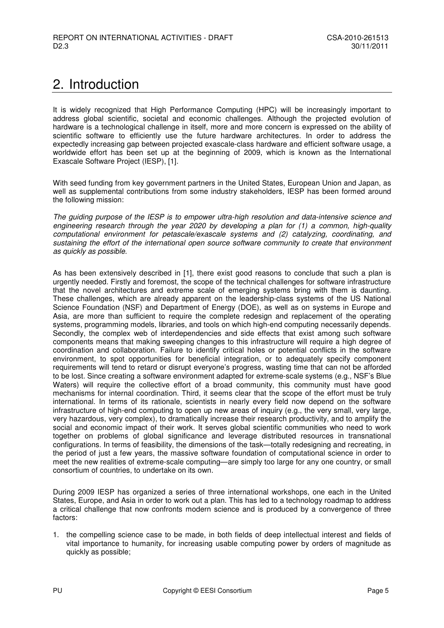## 2. Introduction

It is widely recognized that High Performance Computing (HPC) will be increasingly important to address global scientific, societal and economic challenges. Although the projected evolution of hardware is a technological challenge in itself, more and more concern is expressed on the ability of scientific software to efficiently use the future hardware architectures. In order to address the expectedly increasing gap between projected exascale-class hardware and efficient software usage, a worldwide effort has been set up at the beginning of 2009, which is known as the International Exascale Software Project (IESP), [1].

With seed funding from key government partners in the United States, European Union and Japan, as well as supplemental contributions from some industry stakeholders, IESP has been formed around the following mission:

The guiding purpose of the IESP is to empower ultra-high resolution and data-intensive science and engineering research through the year 2020 by developing a plan for (1) a common, high-quality computational environment for petascale/exascale systems and (2) catalyzing, coordinating, and sustaining the effort of the international open source software community to create that environment as quickly as possible.

As has been extensively described in [1], there exist good reasons to conclude that such a plan is urgently needed. Firstly and foremost, the scope of the technical challenges for software infrastructure that the novel architectures and extreme scale of emerging systems bring with them is daunting. These challenges, which are already apparent on the leadership-class systems of the US National Science Foundation (NSF) and Department of Energy (DOE), as well as on systems in Europe and Asia, are more than sufficient to require the complete redesign and replacement of the operating systems, programming models, libraries, and tools on which high-end computing necessarily depends. Secondly, the complex web of interdependencies and side effects that exist among such software components means that making sweeping changes to this infrastructure will require a high degree of coordination and collaboration. Failure to identify critical holes or potential conflicts in the software environment, to spot opportunities for beneficial integration, or to adequately specify component requirements will tend to retard or disrupt everyone's progress, wasting time that can not be afforded to be lost. Since creating a software environment adapted for extreme-scale systems (e.g., NSF's Blue Waters) will require the collective effort of a broad community, this community must have good mechanisms for internal coordination. Third, it seems clear that the scope of the effort must be truly international. In terms of its rationale, scientists in nearly every field now depend on the software infrastructure of high-end computing to open up new areas of inquiry (e.g., the very small, very large, very hazardous, very complex), to dramatically increase their research productivity, and to amplify the social and economic impact of their work. It serves global scientific communities who need to work together on problems of global significance and leverage distributed resources in transnational configurations. In terms of feasibility, the dimensions of the task—totally redesigning and recreating, in the period of just a few years, the massive software foundation of computational science in order to meet the new realities of extreme-scale computing—are simply too large for any one country, or small consortium of countries, to undertake on its own.

During 2009 IESP has organized a series of three international workshops, one each in the United States, Europe, and Asia in order to work out a plan. This has led to a technology roadmap to address a critical challenge that now confronts modern science and is produced by a convergence of three factors:

1. the compelling science case to be made, in both fields of deep intellectual interest and fields of vital importance to humanity, for increasing usable computing power by orders of magnitude as quickly as possible;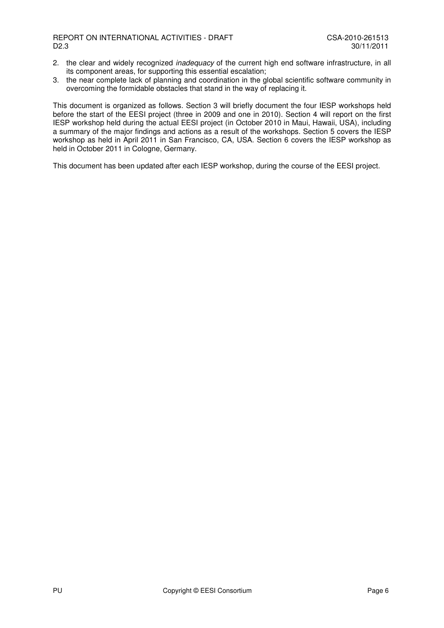- 2. the clear and widely recognized *inadequacy* of the current high end software infrastructure, in all its component areas, for supporting this essential escalation;
- 3. the near complete lack of planning and coordination in the global scientific software community in overcoming the formidable obstacles that stand in the way of replacing it.

This document is organized as follows. Section 3 will briefly document the four IESP workshops held before the start of the EESI project (three in 2009 and one in 2010). Section 4 will report on the first IESP workshop held during the actual EESI project (in October 2010 in Maui, Hawaii, USA), including a summary of the major findings and actions as a result of the workshops. Section 5 covers the IESP workshop as held in April 2011 in San Francisco, CA, USA. Section 6 covers the IESP workshop as held in October 2011 in Cologne, Germany.

This document has been updated after each IESP workshop, during the course of the EESI project.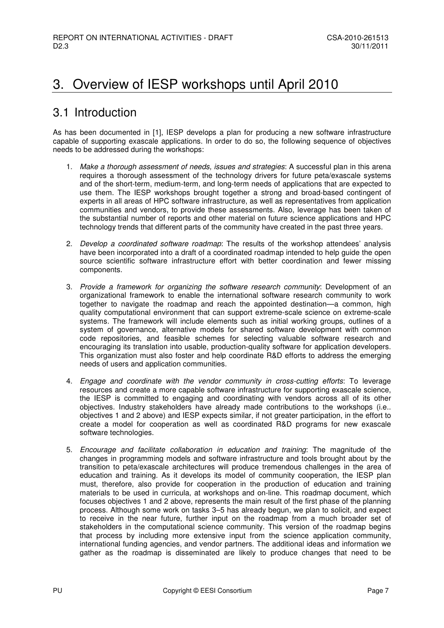## 3. Overview of IESP workshops until April 2010

## 3.1 Introduction

As has been documented in [1], IESP develops a plan for producing a new software infrastructure capable of supporting exascale applications. In order to do so, the following sequence of objectives needs to be addressed during the workshops:

- 1. Make a thorough assessment of needs, issues and strategies: A successful plan in this arena requires a thorough assessment of the technology drivers for future peta/exascale systems and of the short-term, medium-term, and long-term needs of applications that are expected to use them. The IESP workshops brought together a strong and broad-based contingent of experts in all areas of HPC software infrastructure, as well as representatives from application communities and vendors, to provide these assessments. Also, leverage has been taken of the substantial number of reports and other material on future science applications and HPC technology trends that different parts of the community have created in the past three years.
- 2. Develop a coordinated software roadmap: The results of the workshop attendees' analysis have been incorporated into a draft of a coordinated roadmap intended to help guide the open source scientific software infrastructure effort with better coordination and fewer missing components.
- 3. Provide a framework for organizing the software research community: Development of an organizational framework to enable the international software research community to work together to navigate the roadmap and reach the appointed destination—a common, high quality computational environment that can support extreme-scale science on extreme-scale systems. The framework will include elements such as initial working groups, outlines of a system of governance, alternative models for shared software development with common code repositories, and feasible schemes for selecting valuable software research and encouraging its translation into usable, production-quality software for application developers. This organization must also foster and help coordinate R&D efforts to address the emerging needs of users and application communities.
- 4. Engage and coordinate with the vendor community in cross-cutting efforts: To leverage resources and create a more capable software infrastructure for supporting exascale science, the IESP is committed to engaging and coordinating with vendors across all of its other objectives. Industry stakeholders have already made contributions to the workshops (i.e.. objectives 1 and 2 above) and IESP expects similar, if not greater participation, in the effort to create a model for cooperation as well as coordinated R&D programs for new exascale software technologies.
- 5. Encourage and facilitate collaboration in education and training: The magnitude of the changes in programming models and software infrastructure and tools brought about by the transition to peta/exascale architectures will produce tremendous challenges in the area of education and training. As it develops its model of community cooperation, the IESP plan must, therefore, also provide for cooperation in the production of education and training materials to be used in curricula, at workshops and on-line. This roadmap document, which focuses objectives 1 and 2 above, represents the main result of the first phase of the planning process. Although some work on tasks 3–5 has already begun, we plan to solicit, and expect to receive in the near future, further input on the roadmap from a much broader set of stakeholders in the computational science community. This version of the roadmap begins that process by including more extensive input from the science application community, international funding agencies, and vendor partners. The additional ideas and information we gather as the roadmap is disseminated are likely to produce changes that need to be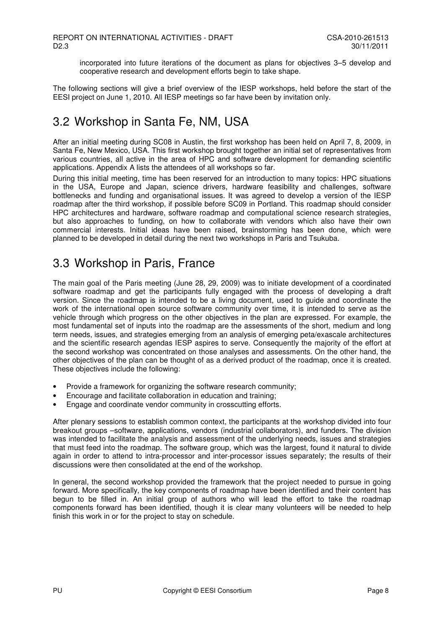incorporated into future iterations of the document as plans for objectives 3–5 develop and cooperative research and development efforts begin to take shape.

The following sections will give a brief overview of the IESP workshops, held before the start of the EESI project on June 1, 2010. All IESP meetings so far have been by invitation only.

## 3.2 Workshop in Santa Fe, NM, USA

After an initial meeting during SC08 in Austin, the first workshop has been held on April 7, 8, 2009, in Santa Fe, New Mexico, USA. This first workshop brought together an initial set of representatives from various countries, all active in the area of HPC and software development for demanding scientific applications. Appendix A lists the attendees of all workshops so far.

During this initial meeting, time has been reserved for an introduction to many topics: HPC situations in the USA, Europe and Japan, science drivers, hardware feasibility and challenges, software bottlenecks and funding and organisational issues. It was agreed to develop a version of the IESP roadmap after the third workshop, if possible before SC09 in Portland. This roadmap should consider HPC architectures and hardware, software roadmap and computational science research strategies, but also approaches to funding, on how to collaborate with vendors which also have their own commercial interests. Initial ideas have been raised, brainstorming has been done, which were planned to be developed in detail during the next two workshops in Paris and Tsukuba.

## 3.3 Workshop in Paris, France

The main goal of the Paris meeting (June 28, 29, 2009) was to initiate development of a coordinated software roadmap and get the participants fully engaged with the process of developing a draft version. Since the roadmap is intended to be a living document, used to guide and coordinate the work of the international open source software community over time, it is intended to serve as the vehicle through which progress on the other objectives in the plan are expressed. For example, the most fundamental set of inputs into the roadmap are the assessments of the short, medium and long term needs, issues, and strategies emerging from an analysis of emerging peta/exascale architectures and the scientific research agendas IESP aspires to serve. Consequently the majority of the effort at the second workshop was concentrated on those analyses and assessments. On the other hand, the other objectives of the plan can be thought of as a derived product of the roadmap, once it is created. These objectives include the following:

- Provide a framework for organizing the software research community;
- Encourage and facilitate collaboration in education and training;
- Engage and coordinate vendor community in crosscutting efforts.

After plenary sessions to establish common context, the participants at the workshop divided into four breakout groups –software, applications, vendors (industrial collaborators), and funders. The division was intended to facilitate the analysis and assessment of the underlying needs, issues and strategies that must feed into the roadmap. The software group, which was the largest, found it natural to divide again in order to attend to intra-processor and inter-processor issues separately; the results of their discussions were then consolidated at the end of the workshop.

In general, the second workshop provided the framework that the project needed to pursue in going forward. More specifically, the key components of roadmap have been identified and their content has begun to be filled in. An initial group of authors who will lead the effort to take the roadmap components forward has been identified, though it is clear many volunteers will be needed to help finish this work in or for the project to stay on schedule.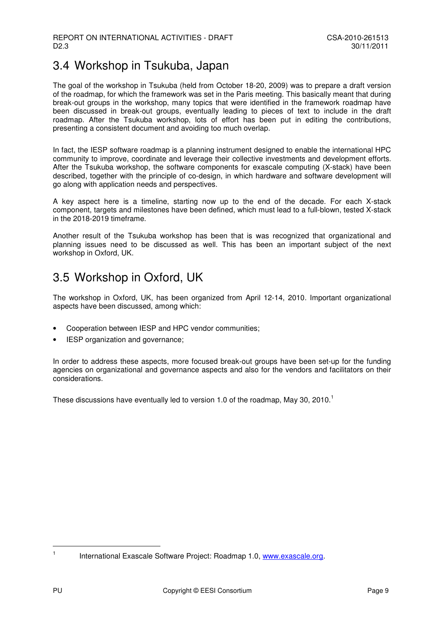## 3.4 Workshop in Tsukuba, Japan

The goal of the workshop in Tsukuba (held from October 18-20, 2009) was to prepare a draft version of the roadmap, for which the framework was set in the Paris meeting. This basically meant that during break-out groups in the workshop, many topics that were identified in the framework roadmap have been discussed in break-out groups, eventually leading to pieces of text to include in the draft roadmap. After the Tsukuba workshop, lots of effort has been put in editing the contributions, presenting a consistent document and avoiding too much overlap.

In fact, the IESP software roadmap is a planning instrument designed to enable the international HPC community to improve, coordinate and leverage their collective investments and development efforts. After the Tsukuba workshop, the software components for exascale computing (X-stack) have been described, together with the principle of co-design, in which hardware and software development will go along with application needs and perspectives.

A key aspect here is a timeline, starting now up to the end of the decade. For each X-stack component, targets and milestones have been defined, which must lead to a full-blown, tested X-stack in the 2018-2019 timeframe.

Another result of the Tsukuba workshop has been that is was recognized that organizational and planning issues need to be discussed as well. This has been an important subject of the next workshop in Oxford, UK.

## 3.5 Workshop in Oxford, UK

The workshop in Oxford, UK, has been organized from April 12-14, 2010. Important organizational aspects have been discussed, among which:

- Cooperation between IESP and HPC vendor communities;
- IESP organization and governance;

In order to address these aspects, more focused break-out groups have been set-up for the funding agencies on organizational and governance aspects and also for the vendors and facilitators on their considerations.

These discussions have eventually led to version 1.0 of the roadmap, May 30, 2010.<sup>1</sup>

l 1

International Exascale Software Project: Roadmap 1.0, www.exascale.org.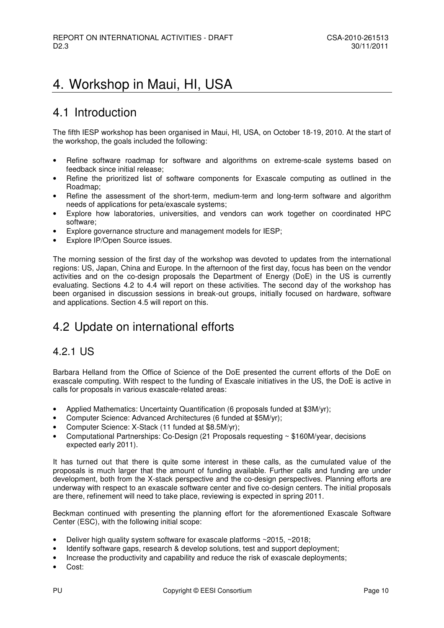## 4. Workshop in Maui, HI, USA

## 4.1 Introduction

The fifth IESP workshop has been organised in Maui, HI, USA, on October 18-19, 2010. At the start of the workshop, the goals included the following:

- Refine software roadmap for software and algorithms on extreme-scale systems based on feedback since initial release;
- Refine the prioritized list of software components for Exascale computing as outlined in the Roadmap;
- Refine the assessment of the short-term, medium-term and long-term software and algorithm needs of applications for peta/exascale systems;
- Explore how laboratories, universities, and vendors can work together on coordinated HPC software;
- Explore governance structure and management models for IESP;
- Explore IP/Open Source issues.

The morning session of the first day of the workshop was devoted to updates from the international regions: US, Japan, China and Europe. In the afternoon of the first day, focus has been on the vendor activities and on the co-design proposals the Department of Energy (DoE) in the US is currently evaluating. Sections 4.2 to 4.4 will report on these activities. The second day of the workshop has been organised in discussion sessions in break-out groups, initially focused on hardware, software and applications. Section 4.5 will report on this.

## 4.2 Update on international efforts

#### 4.2.1 US

Barbara Helland from the Office of Science of the DoE presented the current efforts of the DoE on exascale computing. With respect to the funding of Exascale initiatives in the US, the DoE is active in calls for proposals in various exascale-related areas:

- Applied Mathematics: Uncertainty Quantification (6 proposals funded at \$3M/yr);
- Computer Science: Advanced Architectures (6 funded at \$5M/yr);
- Computer Science: X-Stack (11 funded at \$8.5M/yr);
- Computational Partnerships: Co-Design (21 Proposals requesting ~ \$160M/year, decisions expected early 2011).

It has turned out that there is quite some interest in these calls, as the cumulated value of the proposals is much larger that the amount of funding available. Further calls and funding are under development, both from the X-stack perspective and the co-design perspectives. Planning efforts are underway with respect to an exascale software center and five co-design centers. The initial proposals are there, refinement will need to take place, reviewing is expected in spring 2011.

Beckman continued with presenting the planning effort for the aforementioned Exascale Software Center (ESC), with the following initial scope:

- Deliver high quality system software for exascale platforms  $\sim$  2015,  $\sim$  2018;
- Identify software gaps, research & develop solutions, test and support deployment;
- Increase the productivity and capability and reduce the risk of exascale deployments;
- Cost: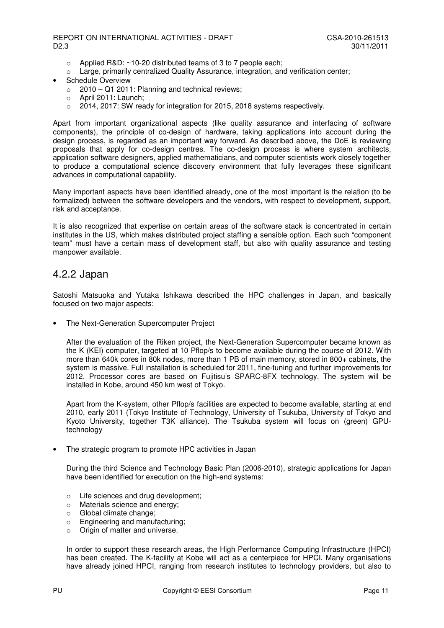- $\circ$  Applied R&D: ~10-20 distributed teams of 3 to 7 people each:
- $\circ$  Large, primarily centralized Quality Assurance, integration, and verification center;
- Schedule Overview
	- $\circ$  2010 Q1 2011: Planning and technical reviews;
	- o April 2011: Launch;
	- o 2014, 2017: SW ready for integration for 2015, 2018 systems respectively.

Apart from important organizational aspects (like quality assurance and interfacing of software components), the principle of co-design of hardware, taking applications into account during the design process, is regarded as an important way forward. As described above, the DoE is reviewing proposals that apply for co-design centres. The co-design process is where system architects, application software designers, applied mathematicians, and computer scientists work closely together to produce a computational science discovery environment that fully leverages these significant advances in computational capability.

Many important aspects have been identified already, one of the most important is the relation (to be formalized) between the software developers and the vendors, with respect to development, support, risk and acceptance.

It is also recognized that expertise on certain areas of the software stack is concentrated in certain institutes in the US, which makes distributed project staffing a sensible option. Each such "component team" must have a certain mass of development staff, but also with quality assurance and testing manpower available.

#### 4.2.2 Japan

Satoshi Matsuoka and Yutaka Ishikawa described the HPC challenges in Japan, and basically focused on two major aspects:

• The Next-Generation Supercomputer Project

After the evaluation of the Riken project, the Next-Generation Supercomputer became known as the K (KEI) computer, targeted at 10 Pflop/s to become available during the course of 2012. With more than 640k cores in 80k nodes, more than 1 PB of main memory, stored in 800+ cabinets, the system is massive. Full installation is scheduled for 2011, fine-tuning and further improvements for 2012. Processor cores are based on Fujitisu's SPARC-8FX technology. The system will be installed in Kobe, around 450 km west of Tokyo.

Apart from the K-system, other Pflop/s facilities are expected to become available, starting at end 2010, early 2011 (Tokyo Institute of Technology, University of Tsukuba, University of Tokyo and Kyoto University, together T3K alliance). The Tsukuba system will focus on (green) GPUtechnology

The strategic program to promote HPC activities in Japan

During the third Science and Technology Basic Plan (2006-2010), strategic applications for Japan have been identified for execution on the high-end systems:

- o Life sciences and drug development;
- o Materials science and energy;
- o Global climate change;
- o Engineering and manufacturing;
- o Origin of matter and universe.

In order to support these research areas, the High Performance Computing Infrastructure (HPCI) has been created. The K-facility at Kobe will act as a centerpiece for HPCI. Many organisations have already joined HPCI, ranging from research institutes to technology providers, but also to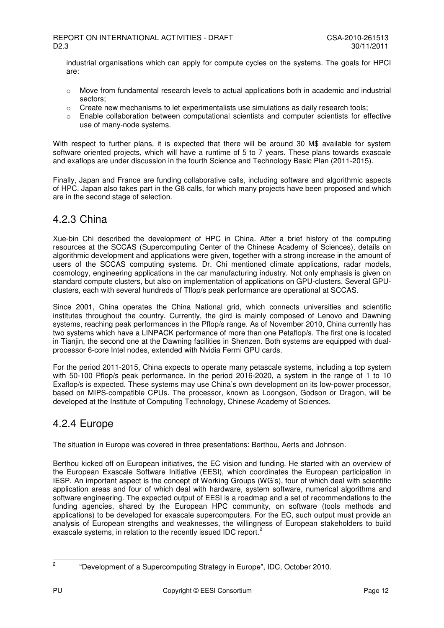industrial organisations which can apply for compute cycles on the systems. The goals for HPCI are:

- $\circ$  Move from fundamental research levels to actual applications both in academic and industrial sectors;
- $\circ$  Create new mechanisms to let experimentalists use simulations as daily research tools;
- o Enable collaboration between computational scientists and computer scientists for effective use of many-node systems.

With respect to further plans, it is expected that there will be around 30 M\$ available for system software oriented projects, which will have a runtime of 5 to 7 years. These plans towards exascale and exaflops are under discussion in the fourth Science and Technology Basic Plan (2011-2015).

Finally, Japan and France are funding collaborative calls, including software and algorithmic aspects of HPC. Japan also takes part in the G8 calls, for which many projects have been proposed and which are in the second stage of selection.

#### 4.2.3 China

Xue-bin Chi described the development of HPC in China. After a brief history of the computing resources at the SCCAS (Supercomputing Center of the Chinese Academy of Sciences), details on algorithmic development and applications were given, together with a strong increase in the amount of users of the SCCAS computing systems. Dr. Chi mentioned climate applications, radar models, cosmology, engineering applications in the car manufacturing industry. Not only emphasis is given on standard compute clusters, but also on implementation of applications on GPU-clusters. Several GPUclusters, each with several hundreds of Tflop/s peak performance are operational at SCCAS.

Since 2001, China operates the China National grid, which connects universities and scientific institutes throughout the country. Currently, the gird is mainly composed of Lenovo and Dawning systems, reaching peak performances in the Pflop/s range. As of November 2010, China currently has two systems which have a LINPACK performance of more than one Petaflop/s. The first one is located in Tianjin, the second one at the Dawning facilities in Shenzen. Both systems are equipped with dualprocessor 6-core Intel nodes, extended with Nvidia Fermi GPU cards.

For the period 2011-2015, China expects to operate many petascale systems, including a top system with 50-100 Pflop/s peak performance. In the period 2016-2020, a system in the range of 1 to 10 Exaflop/s is expected. These systems may use China's own development on its low-power processor, based on MIPS-compatible CPUs. The processor, known as Loongson, Godson or Dragon, will be developed at the Institute of Computing Technology, Chinese Academy of Sciences.

### 4.2.4 Europe

The situation in Europe was covered in three presentations: Berthou, Aerts and Johnson.

Berthou kicked off on European initiatives, the EC vision and funding. He started with an overview of the European Exascale Software Initiative (EESI), which coordinates the European participation in IESP. An important aspect is the concept of Working Groups (WG's), four of which deal with scientific application areas and four of which deal with hardware, system software, numerical algorithms and software engineering. The expected output of EESI is a roadmap and a set of recommendations to the funding agencies, shared by the European HPC community, on software (tools methods and applications) to be developed for exascale supercomputers. For the EC, such output must provide an analysis of European strengths and weaknesses, the willingness of European stakeholders to build exascale systems, in relation to the recently issued IDC report.<sup>2</sup>

<sup>2</sup> 

 <sup>&</sup>quot;Development of a Supercomputing Strategy in Europe", IDC, October 2010.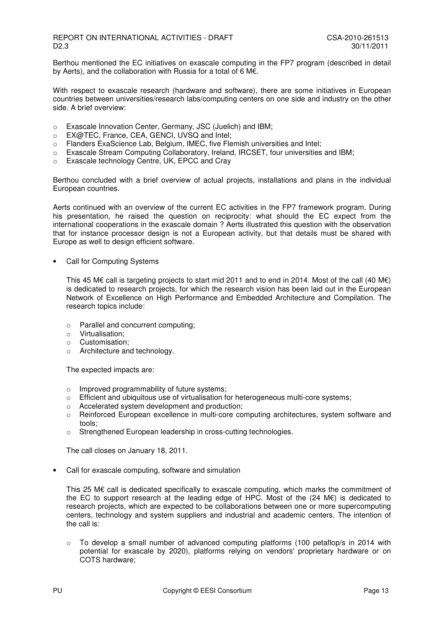Berthou mentioned the EC initiatives on exascale computing in the FP7 program (described in detail by Aerts), and the collaboration with Russia for a total of 6 M€.

With respect to exascale research (hardware and software), there are some initiatives in European countries between universities/research labs/computing centers on one side and industry on the other side. A brief overview:

- o Exascale Innovation Center, Germany, JSC (Juelich) and IBM;
- o EX@TEC, France, CEA, GENCI, UVSQ and Intel;
- o Flanders ExaScience Lab, Belgium, IMEC, five Flemish universities and Intel;
- $\circ$  Exascale Stream Computing Collaboratory, Ireland, IRCSET, four universities and IBM;
- o Exascale technology Centre, UK, EPCC and Cray

Berthou concluded with a brief overview of actual projects, installations and plans in the individual European countries.

Aerts continued with an overview of the current EC activities in the FP7 framework program. During his presentation, he raised the question on reciprocity: what should the EC expect from the international cooperations in the exascale domain ? Aerts illustrated this question with the observation that for instance processor design is not a European activity, but that details must be shared with Europe as well to design efficient software.

• Call for Computing Systems

This 45 M€ call is targeting projects to start mid 2011 and to end in 2014. Most of the call (40 M€) is dedicated to research projects, for which the research vision has been laid out in the European Network of Excellence on High Performance and Embedded Architecture and Compilation. The research topics include:

- o Parallel and concurrent computing;
- o Virtualisation;
- o Customisation;
- o Architecture and technology.

The expected impacts are:

- 
- $\circ$  Improved programmability of future systems;<br> $\circ$  Efficient and ubiquitous use of virtualisation fo Efficient and ubiquitous use of virtualisation for heterogeneous multi-core systems;
- o Accelerated system development and production;
- o Reinforced European excellence in multi-core computing architectures, system software and tools;
- o Strengthened European leadership in cross-cutting technologies.

The call closes on January 18, 2011.

• Call for exascale computing, software and simulation

This 25 M€ call is dedicated specifically to exascale computing, which marks the commitment of the EC to support research at the leading edge of HPC. Most of the  $(24 \text{ M} \epsilon)$  is dedicated to research projects, which are expected to be collaborations between one or more supercomputing centers, technology and system suppliers and industrial and academic centers. The intention of the call is:

o To develop a small number of advanced computing platforms (100 petaflop/s in 2014 with potential for exascale by 2020), platforms relying on vendors' proprietary hardware or on COTS hardware;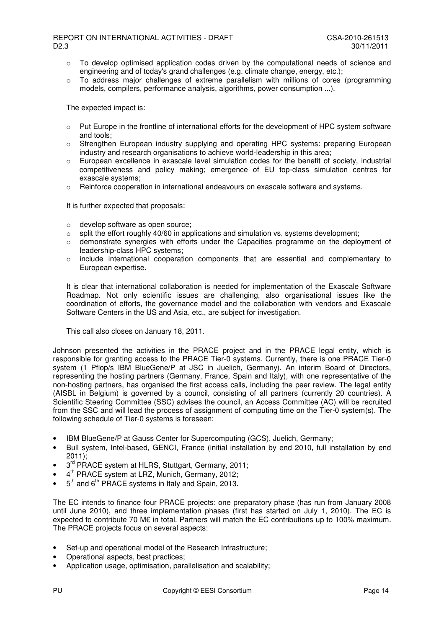- $\circ$  To develop optimised application codes driven by the computational needs of science and engineering and of today's grand challenges (e.g. climate change, energy, etc.);
- o To address major challenges of extreme parallelism with millions of cores (programming models, compilers, performance analysis, algorithms, power consumption ...).

The expected impact is:

- o Put Europe in the frontline of international efforts for the development of HPC system software and tools;
- o Strengthen European industry supplying and operating HPC systems: preparing European industry and research organisations to achieve world-leadership in this area;
- $\circ$  European excellence in exascale level simulation codes for the benefit of society, industrial competitiveness and policy making; emergence of EU top-class simulation centres for exascale systems;
- o Reinforce cooperation in international endeavours on exascale software and systems.

It is further expected that proposals:

- o develop software as open source;
- $\circ$  split the effort roughly 40/60 in applications and simulation vs. systems development;
- o demonstrate synergies with efforts under the Capacities programme on the deployment of leadership-class HPC systems;
- $\circ$  include international cooperation components that are essential and complementary to European expertise.

It is clear that international collaboration is needed for implementation of the Exascale Software Roadmap. Not only scientific issues are challenging, also organisational issues like the coordination of efforts, the governance model and the collaboration with vendors and Exascale Software Centers in the US and Asia, etc., are subject for investigation.

This call also closes on January 18, 2011.

Johnson presented the activities in the PRACE project and in the PRACE legal entity, which is responsible for granting access to the PRACE Tier-0 systems. Currently, there is one PRACE Tier-0 system (1 Pflop/s IBM BlueGene/P at JSC in Juelich, Germany). An interim Board of Directors, representing the hosting partners (Germany, France, Spain and Italy), with one representative of the non-hosting partners, has organised the first access calls, including the peer review. The legal entity (AISBL in Belgium) is governed by a council, consisting of all partners (currently 20 countries). A Scientific Steering Committee (SSC) advises the council, an Access Committee (AC) will be recruited from the SSC and will lead the process of assignment of computing time on the Tier-0 system(s). The following schedule of Tier-0 systems is foreseen:

- IBM BlueGene/P at Gauss Center for Supercomputing (GCS), Juelich, Germany;
- Bull system, Intel-based, GENCI, France (initial installation by end 2010, full installation by end 2011);
- $3<sup>rd</sup>$  PRACE system at HLRS, Stuttgart, Germany, 2011;
- 4<sup>th</sup> PRACE system at LRZ, Munich, Germany, 2012;
- 5<sup>th</sup> and 6<sup>th</sup> PRACE systems in Italy and Spain, 2013.

The EC intends to finance four PRACE projects: one preparatory phase (has run from January 2008 until June 2010), and three implementation phases (first has started on July 1, 2010). The EC is expected to contribute 70 M€ in total. Partners will match the EC contributions up to 100% maximum. The PRACE projects focus on several aspects:

- Set-up and operational model of the Research Infrastructure;
- Operational aspects, best practices;
- Application usage, optimisation, parallelisation and scalability;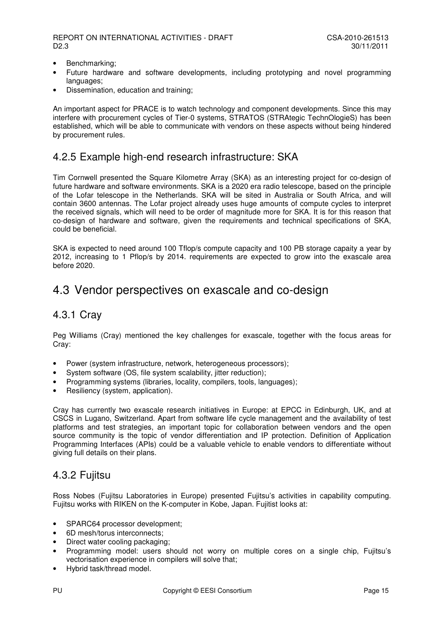- Benchmarking;
- Future hardware and software developments, including prototyping and novel programming languages:
- Dissemination, education and training;

An important aspect for PRACE is to watch technology and component developments. Since this may interfere with procurement cycles of Tier-0 systems, STRATOS (STRAtegic TechnOlogieS) has been established, which will be able to communicate with vendors on these aspects without being hindered by procurement rules.

#### 4.2.5 Example high-end research infrastructure: SKA

Tim Cornwell presented the Square Kilometre Array (SKA) as an interesting project for co-design of future hardware and software environments. SKA is a 2020 era radio telescope, based on the principle of the Lofar telescope in the Netherlands. SKA will be sited in Australia or South Africa, and will contain 3600 antennas. The Lofar project already uses huge amounts of compute cycles to interpret the received signals, which will need to be order of magnitude more for SKA. It is for this reason that co-design of hardware and software, given the requirements and technical specifications of SKA, could be beneficial.

SKA is expected to need around 100 Tflop/s compute capacity and 100 PB storage capaity a year by 2012, increasing to 1 Pflop/s by 2014. requirements are expected to grow into the exascale area before 2020.

### 4.3 Vendor perspectives on exascale and co-design

#### 4.3.1 Cray

Peg Williams (Cray) mentioned the key challenges for exascale, together with the focus areas for Cray:

- Power (system infrastructure, network, heterogeneous processors);
- System software (OS, file system scalability, jitter reduction);
- Programming systems (libraries, locality, compilers, tools, languages);
- Resiliency (system, application).

Cray has currently two exascale research initiatives in Europe: at EPCC in Edinburgh, UK, and at CSCS in Lugano, Switzerland. Apart from software life cycle management and the availability of test platforms and test strategies, an important topic for collaboration between vendors and the open source community is the topic of vendor differentiation and IP protection. Definition of Application Programming Interfaces (APIs) could be a valuable vehicle to enable vendors to differentiate without giving full details on their plans.

#### 4.3.2 Fujitsu

Ross Nobes (Fujitsu Laboratories in Europe) presented Fujitsu's activities in capability computing. Fujitsu works with RIKEN on the K-computer in Kobe, Japan. Fujitist looks at:

- SPARC64 processor development:
- 6D mesh/torus interconnects;
- Direct water cooling packaging;
- Programming model: users should not worry on multiple cores on a single chip, Fujitsu's vectorisation experience in compilers will solve that;
- Hybrid task/thread model.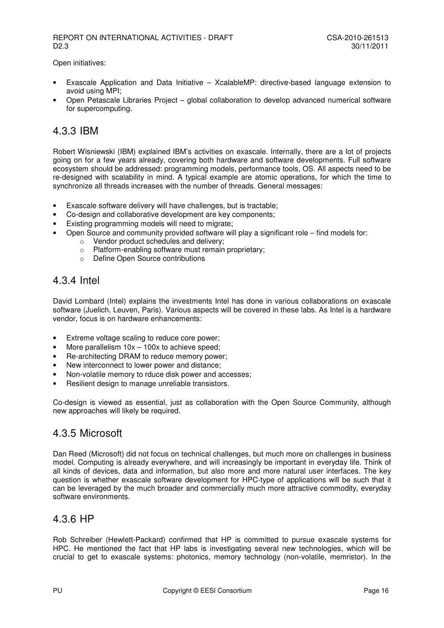Open initiatives:

- Exascale Application and Data Initiative XcalableMP: directive-based language extension to avoid using MPI;
- Open Petascale Libraries Project global collaboration to develop advanced numerical software for supercomputing.

### 4.3.3 IBM

Robert Wisniewski (IBM) explained IBM's activities on exascale. Internally, there are a lot of projects going on for a few years already, covering both hardware and software developments. Full software ecosystem should be addressed: programming models, performance tools, OS. All aspects need to be re-designed with scalability in mind. A typical example are atomic operations, for which the time to synchronize all threads increases with the number of threads. General messages:

- Exascale software delivery will have challenges, but is tractable;
- Co-design and collaborative development are key components;
- Existing programming models will need to migrate;
	- Open Source and community provided software will play a significant role find models for:
		- o Vendor product schedules and delivery;
			- o Platform-enabling software must remain proprietary;
			- o Define Open Source contributions

#### 4.3.4 Intel

David Lombard (Intel) explains the investments Intel has done in various collaborations on exascale software (Juelich, Leuven, Paris). Various aspects will be covered in these labs. As Intel is a hardware vendor, focus is on hardware enhancements:

- Extreme voltage scaling to reduce core power;
- More parallelism  $10x 100x$  to achieve speed;
- Re-architecting DRAM to reduce memory power;
- New interconnect to lower power and distance;
- Non-volatile memory to rduce disk power and accesses;
- Resilient design to manage unreliable transistors.

Co-design is viewed as essential, just as collaboration with the Open Source Community, although new approaches will likely be required.

#### 4.3.5 Microsoft

Dan Reed (Microsoft) did not focus on technical challenges, but much more on challenges in business model. Computing is already everywhere, and will increasingly be important in everyday life. Think of all kinds of devices, data and information, but also more and more natural user interfaces. The key question is whether exascale software development for HPC-type of applications will be such that it can be leveraged by the much broader and commercially much more attractive commodity, everyday software environments.

#### 4.3.6 HP

Rob Schreiber (Hewlett-Packard) confirmed that HP is committed to pursue exascale systems for HPC. He mentioned the fact that HP labs is investigating several new technologies, which will be crucial to get to exascale systems: photonics, memory technology (non-volatile, memristor). In the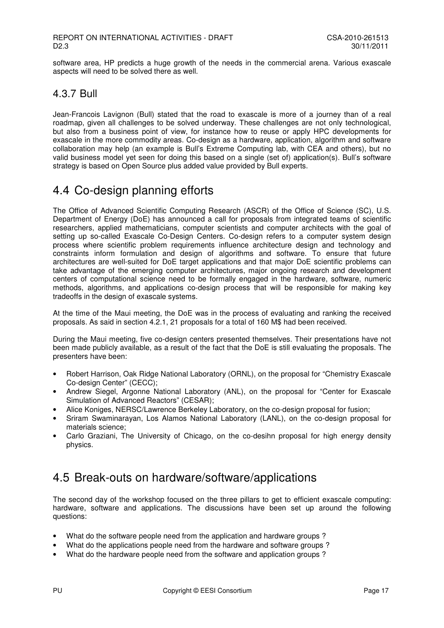software area. HP predicts a huge growth of the needs in the commercial arena. Various exascale aspects will need to be solved there as well.

#### 4.3.7 Bull

Jean-Francois Lavignon (Bull) stated that the road to exascale is more of a journey than of a real roadmap, given all challenges to be solved underway. These challenges are not only technological, but also from a business point of view, for instance how to reuse or apply HPC developments for exascale in the more commodity areas. Co-design as a hardware, application, algorithm and software collaboration may help (an example is Bull's Extreme Computing lab, with CEA and others), but no valid business model yet seen for doing this based on a single (set of) application(s). Bull's software strategy is based on Open Source plus added value provided by Bull experts.

## 4.4 Co-design planning efforts

The Office of Advanced Scientific Computing Research (ASCR) of the Office of Science (SC), U.S. Department of Energy (DoE) has announced a call for proposals from integrated teams of scientific researchers, applied mathematicians, computer scientists and computer architects with the goal of setting up so-called Exascale Co-Design Centers. Co-design refers to a computer system design process where scientific problem requirements influence architecture design and technology and constraints inform formulation and design of algorithms and software. To ensure that future architectures are well-suited for DoE target applications and that major DoE scientific problems can take advantage of the emerging computer architectures, major ongoing research and development centers of computational science need to be formally engaged in the hardware, software, numeric methods, algorithms, and applications co-design process that will be responsible for making key tradeoffs in the design of exascale systems.

At the time of the Maui meeting, the DoE was in the process of evaluating and ranking the received proposals. As said in section 4.2.1, 21 proposals for a total of 160 M\$ had been received.

During the Maui meeting, five co-design centers presented themselves. Their presentations have not been made publicly available, as a result of the fact that the DoE is still evaluating the proposals. The presenters have been:

- Robert Harrison, Oak Ridge National Laboratory (ORNL), on the proposal for "Chemistry Exascale Co-design Center" (CECC);
- Andrew Siegel, Argonne National Laboratory (ANL), on the proposal for "Center for Exascale Simulation of Advanced Reactors" (CESAR);
- Alice Koniges, NERSC/Lawrence Berkeley Laboratory, on the co-design proposal for fusion;
- Sriram Swaminarayan, Los Alamos National Laboratory (LANL), on the co-design proposal for materials science;
- Carlo Graziani, The University of Chicago, on the co-desihn proposal for high energy density physics.

## 4.5 Break-outs on hardware/software/applications

The second day of the workshop focused on the three pillars to get to efficient exascale computing: hardware, software and applications. The discussions have been set up around the following questions:

- What do the software people need from the application and hardware groups ?
- What do the applications people need from the hardware and software groups ?
- What do the hardware people need from the software and application groups ?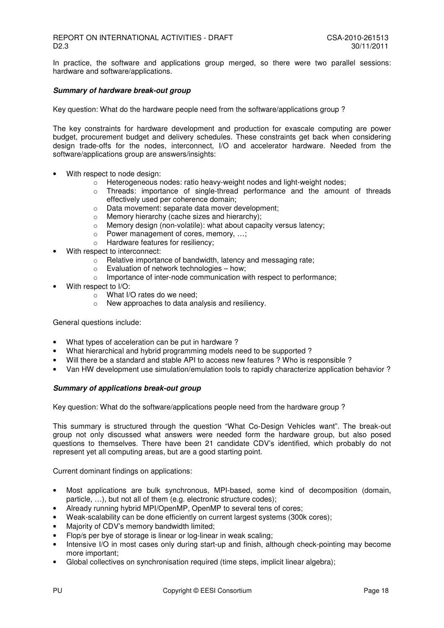In practice, the software and applications group merged, so there were two parallel sessions: hardware and software/applications.

#### **Summary of hardware break-out group**

Key question: What do the hardware people need from the software/applications group ?

The key constraints for hardware development and production for exascale computing are power budget, procurement budget and delivery schedules. These constraints get back when considering design trade-offs for the nodes, interconnect, I/O and accelerator hardware. Needed from the software/applications group are answers/insights:

- With respect to node design:
	- o Heterogeneous nodes: ratio heavy-weight nodes and light-weight nodes;
	- $\circ$  Threads: importance of single-thread performance and the amount of threads effectively used per coherence domain;
	- o Data movement: separate data mover development;
	- o Memory hierarchy (cache sizes and hierarchy);
	- o Memory design (non-volatile): what about capacity versus latency;
	- o Power management of cores, memory, …;
	- o Hardware features for resiliency;
- With respect to interconnect:
	- o Relative importance of bandwidth, latency and messaging rate;
	- o Evaluation of network technologies how;
	- o Importance of inter-node communication with respect to performance;
- With respect to I/O:
	- $\circ$  What I/O rates do we need;
	- o New approaches to data analysis and resiliency.

General questions include:

- What types of acceleration can be put in hardware ?
- What hierarchical and hybrid programming models need to be supported ?
- Will there be a standard and stable API to access new features ? Who is responsible ?
- Van HW development use simulation/emulation tools to rapidly characterize application behavior ?

#### **Summary of applications break-out group**

Key question: What do the software/applications people need from the hardware group ?

This summary is structured through the question "What Co-Design Vehicles want". The break-out group not only discussed what answers were needed form the hardware group, but also posed questions to themselves. There have been 21 candidate CDV's identified, which probably do not represent yet all computing areas, but are a good starting point.

Current dominant findings on applications:

- Most applications are bulk synchronous, MPI-based, some kind of decomposition (domain, particle, …), but not all of them (e.g. electronic structure codes);
- Already running hybrid MPI/OpenMP, OpenMP to several tens of cores;
- Weak-scalability can be done efficiently on current largest systems (300k cores);
- Majority of CDV's memory bandwidth limited;
- Flop/s per bye of storage is linear or log-linear in weak scaling;
- Intensive I/O in most cases only during start-up and finish, although check-pointing may become more important;
- Global collectives on synchronisation required (time steps, implicit linear algebra);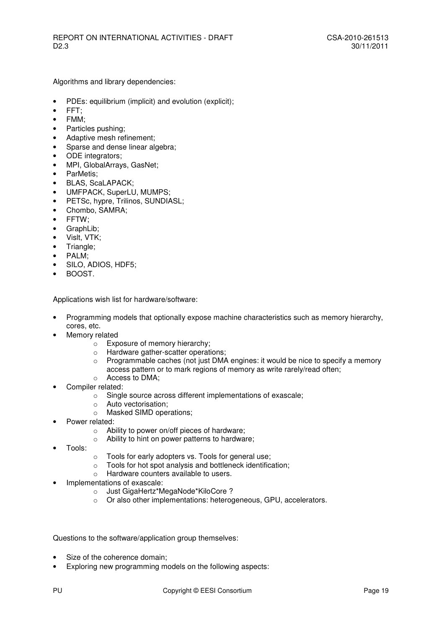Algorithms and library dependencies:

- PDEs: equilibrium (implicit) and evolution (explicit);
- FFT;
- FMM;
- Particles pushing;
- Adaptive mesh refinement;
- Sparse and dense linear algebra:
- ODE integrators;
- MPI, GlobalArrays, GasNet;
- ParMetis;
- BLAS, ScaLAPACK;
- UMFPACK, SuperLU, MUMPS;
- PETSc, hypre, Trilinos, SUNDIASL;
- Chombo, SAMRA;
- FFTW;
- GraphLib;
- Vislt, VTK;
- Triangle;
- PALM;
- SILO, ADIOS, HDF5;
- BOOST.

Applications wish list for hardware/software:

- Programming models that optionally expose machine characteristics such as memory hierarchy, cores, etc.
- Memory related
	- o Exposure of memory hierarchy;
	- o Hardware gather-scatter operations;
	- $\circ$  Programmable caches (not just DMA engines: it would be nice to specify a memory
		- access pattern or to mark regions of memory as write rarely/read often;
	- o Access to DMA;
- Compiler related:
	- o Single source across different implementations of exascale;
	- o Auto vectorisation;
	- o Masked SIMD operations;
- Power related:
	- o Ability to power on/off pieces of hardware;
	- o Ability to hint on power patterns to hardware;
- Tools:
- o Tools for early adopters vs. Tools for general use;
- o Tools for hot spot analysis and bottleneck identification;
- o Hardware counters available to users.
- Implementations of exascale:
	- o Just GigaHertz\*MegaNode\*KiloCore ?
	- o Or also other implementations: heterogeneous, GPU, accelerators.

Questions to the software/application group themselves:

- Size of the coherence domain;
- Exploring new programming models on the following aspects: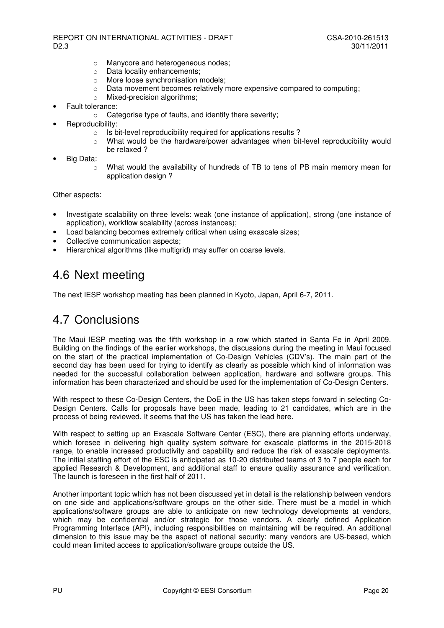- o Manycore and heterogeneous nodes;
- o Data locality enhancements;
- o More loose synchronisation models;
- $\circ$  Data movement becomes relatively more expensive compared to computing;
- $\circ$  Mixed-precision algorithms:
- Fault tolerance:
	- o Categorise type of faults, and identify there severity;
- Reproducibility:
	- o Is bit-level reproducibility required for applications results ?
	- o What would be the hardware/power advantages when bit-level reproducibility would be relaxed ?
- Big Data:
	- $\circ$  What would the availability of hundreds of TB to tens of PB main memory mean for application design ?

Other aspects:

- Investigate scalability on three levels: weak (one instance of application), strong (one instance of application), workflow scalability (across instances);
- Load balancing becomes extremely critical when using exascale sizes;
- Collective communication aspects;
- Hierarchical algorithms (like multigrid) may suffer on coarse levels.

## 4.6 Next meeting

The next IESP workshop meeting has been planned in Kyoto, Japan, April 6-7, 2011.

## 4.7 Conclusions

The Maui IESP meeting was the fifth workshop in a row which started in Santa Fe in April 2009. Building on the findings of the earlier workshops, the discussions during the meeting in Maui focused on the start of the practical implementation of Co-Design Vehicles (CDV's). The main part of the second day has been used for trying to identify as clearly as possible which kind of information was needed for the successful collaboration between application, hardware and software groups. This information has been characterized and should be used for the implementation of Co-Design Centers.

With respect to these Co-Design Centers, the DoE in the US has taken steps forward in selecting Co-Design Centers. Calls for proposals have been made, leading to 21 candidates, which are in the process of being reviewed. It seems that the US has taken the lead here.

With respect to setting up an Exascale Software Center (ESC), there are planning efforts underway, which foresee in delivering high quality system software for exascale platforms in the 2015-2018 range, to enable increased productivity and capability and reduce the risk of exascale deployments. The initial staffing effort of the ESC is anticipated as 10-20 distributed teams of 3 to 7 people each for applied Research & Development, and additional staff to ensure quality assurance and verification. The launch is foreseen in the first half of 2011.

Another important topic which has not been discussed yet in detail is the relationship between vendors on one side and applications/software groups on the other side. There must be a model in which applications/software groups are able to anticipate on new technology developments at vendors, which may be confidential and/or strategic for those vendors. A clearly defined Application Programming Interface (API), including responsibilities on maintaining will be required. An additional dimension to this issue may be the aspect of national security: many vendors are US-based, which could mean limited access to application/software groups outside the US.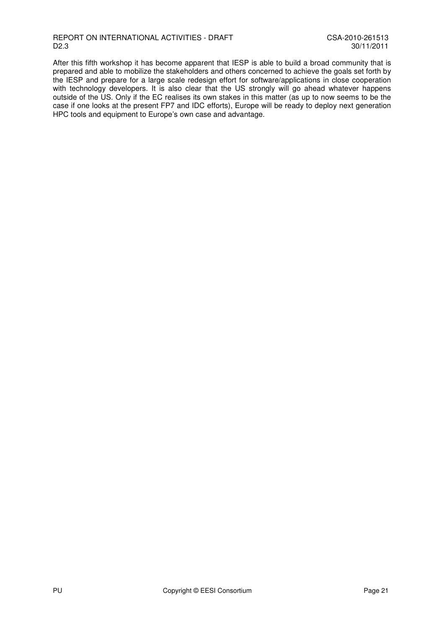After this fifth workshop it has become apparent that IESP is able to build a broad community that is prepared and able to mobilize the stakeholders and others concerned to achieve the goals set forth by the IESP and prepare for a large scale redesign effort for software/applications in close cooperation with technology developers. It is also clear that the US strongly will go ahead whatever happens outside of the US. Only if the EC realises its own stakes in this matter (as up to now seems to be the case if one looks at the present FP7 and IDC efforts), Europe will be ready to deploy next generation HPC tools and equipment to Europe's own case and advantage.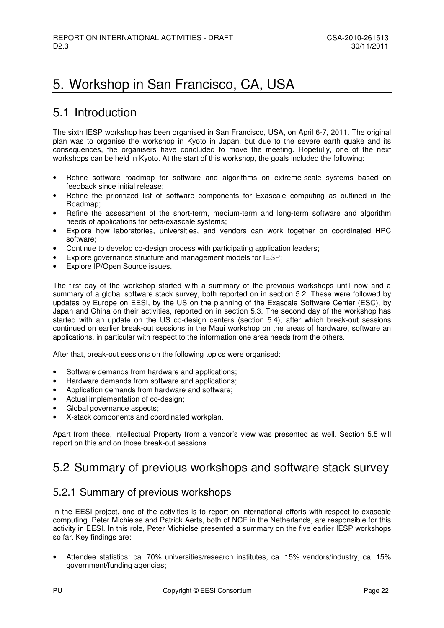## 5. Workshop in San Francisco, CA, USA

## 5.1 Introduction

The sixth IESP workshop has been organised in San Francisco, USA, on April 6-7, 2011. The original plan was to organise the workshop in Kyoto in Japan, but due to the severe earth quake and its consequences, the organisers have concluded to move the meeting. Hopefully, one of the next workshops can be held in Kyoto. At the start of this workshop, the goals included the following:

- Refine software roadmap for software and algorithms on extreme-scale systems based on feedback since initial release;
- Refine the prioritized list of software components for Exascale computing as outlined in the Roadmap;
- Refine the assessment of the short-term, medium-term and long-term software and algorithm needs of applications for peta/exascale systems;
- Explore how laboratories, universities, and vendors can work together on coordinated HPC software;
- Continue to develop co-design process with participating application leaders;
- Explore governance structure and management models for IESP;
- Explore IP/Open Source issues.

The first day of the workshop started with a summary of the previous workshops until now and a summary of a global software stack survey, both reported on in section 5.2. These were followed by updates by Europe on EESI, by the US on the planning of the Exascale Software Center (ESC), by Japan and China on their activities, reported on in section 5.3. The second day of the workshop has started with an update on the US co-design centers (section 5.4), after which break-out sessions continued on earlier break-out sessions in the Maui workshop on the areas of hardware, software an applications, in particular with respect to the information one area needs from the others.

After that, break-out sessions on the following topics were organised:

- Software demands from hardware and applications;
- Hardware demands from software and applications:
- Application demands from hardware and software;
- Actual implementation of co-design;
- Global governance aspects:
- X-stack components and coordinated workplan.

Apart from these, Intellectual Property from a vendor's view was presented as well. Section 5.5 will report on this and on those break-out sessions.

## 5.2 Summary of previous workshops and software stack survey

#### 5.2.1 Summary of previous workshops

In the EESI project, one of the activities is to report on international efforts with respect to exascale computing. Peter Michielse and Patrick Aerts, both of NCF in the Netherlands, are responsible for this activity in EESI. In this role, Peter Michielse presented a summary on the five earlier IESP workshops so far. Key findings are:

• Attendee statistics: ca. 70% universities/research institutes, ca. 15% vendors/industry, ca. 15% government/funding agencies;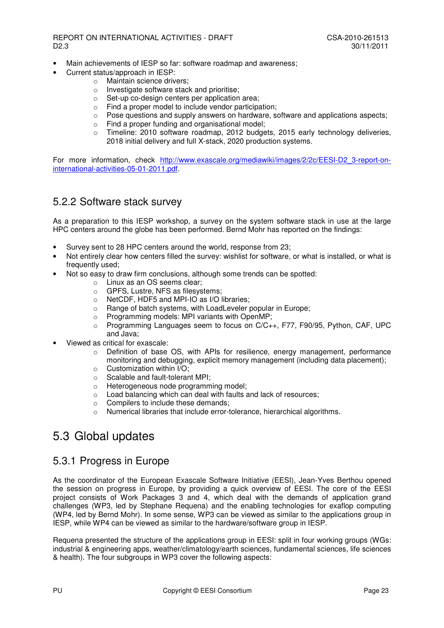- Main achievements of IESP so far: software roadmap and awareness:
- Current status/approach in IESP:
	- o Maintain science drivers;
	- o Investigate software stack and prioritise;
	- o Set-up co-design centers per application area;
	- o Find a proper model to include vendor participation;
	- $\circ$  Pose questions and supply answers on hardware, software and applications aspects;
	- $\circ$  Find a proper funding and organisational model:
	- $\circ$  Timeline: 2010 software roadmap, 2012 budgets, 2015 early technology deliveries, 2018 initial delivery and full X-stack, 2020 production systems.

For more information, check http://www.exascale.org/mediawiki/images/2/2c/EESI-D2\_3-report-oninternational-activities-05-01-2011.pdf.

#### 5.2.2 Software stack survey

As a preparation to this IESP workshop, a survey on the system software stack in use at the large HPC centers around the globe has been performed. Bernd Mohr has reported on the findings:

- Survey sent to 28 HPC centers around the world, response from 23;
- Not entirely clear how centers filled the survey: wishlist for software, or what is installed, or what is frequently used;
- Not so easy to draw firm conclusions, although some trends can be spotted:
	- o Linux as an OS seems clear;
	- o GPFS, Lustre, NFS as filesystems;
	- o NetCDF, HDF5 and MPI-IO as I/O libraries;
	- o Range of batch systems, with LoadLeveler popular in Europe;
	- o Programming models: MPI variants with OpenMP;
	- $\circ$  Programming Languages seem to focus on C/C++, F77, F90/95, Python, CAF, UPC and Java;
- Viewed as critical for exascale:
	- o Definition of base OS, with APIs for resilience, energy management, performance monitoring and debugging, explicit memory management (including data placement);
	- $\circ$  Customization within I/O:
	- o Scalable and fault-tolerant MPI;
	- o Heterogeneous node programming model;
	- o Load balancing which can deal with faults and lack of resources;
	- o Compilers to include these demands;
	- o Numerical libraries that include error-tolerance, hierarchical algorithms.

## 5.3 Global updates

#### 5.3.1 Progress in Europe

As the coordinator of the European Exascale Software Initiative (EESI), Jean-Yves Berthou opened the session on progress in Europe, by providing a quick overview of EESI. The core of the EESI project consists of Work Packages 3 and 4, which deal with the demands of application grand challenges (WP3, led by Stephane Requena) and the enabling technologies for exaflop computing (WP4, led by Bernd Mohr). In some sense, WP3 can be viewed as similar to the applications group in IESP, while WP4 can be viewed as similar to the hardware/software group in IESP.

Requena presented the structure of the applications group in EESI: split in four working groups (WGs: industrial & engineering apps, weather/climatology/earth sciences, fundamental sciences, life sciences & health). The four subgroups in WP3 cover the following aspects: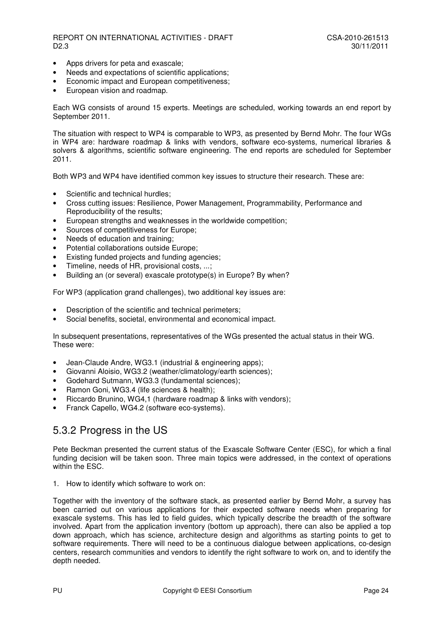- Apps drivers for peta and exascale;
- Needs and expectations of scientific applications:
- Economic impact and European competitiveness;
- European vision and roadmap.

Each WG consists of around 15 experts. Meetings are scheduled, working towards an end report by September 2011.

The situation with respect to WP4 is comparable to WP3, as presented by Bernd Mohr. The four WGs in WP4 are: hardware roadmap & links with vendors, software eco-systems, numerical libraries & solvers & algorithms, scientific software engineering. The end reports are scheduled for September 2011.

Both WP3 and WP4 have identified common key issues to structure their research. These are:

- Scientific and technical hurdles:
- Cross cutting issues: Resilience, Power Management, Programmability, Performance and Reproducibility of the results;
- European strengths and weaknesses in the worldwide competition;
- Sources of competitiveness for Europe;
- Needs of education and training;
- Potential collaborations outside Europe;
- Existing funded projects and funding agencies;
- Timeline, needs of HR, provisional costs, ...;
- Building an (or several) exascale prototype(s) in Europe? By when?

For WP3 (application grand challenges), two additional key issues are:

- Description of the scientific and technical perimeters;
- Social benefits, societal, environmental and economical impact.

In subsequent presentations, representatives of the WGs presented the actual status in their WG. These were:

- Jean-Claude Andre, WG3.1 (industrial & engineering apps);
- Giovanni Aloisio, WG3.2 (weather/climatology/earth sciences);
- Godehard Sutmann, WG3.3 (fundamental sciences);
- Ramon Goni, WG3.4 (life sciences & health);
- Riccardo Brunino, WG4,1 (hardware roadmap & links with vendors);
- Franck Capello, WG4.2 (software eco-systems).

#### 5.3.2 Progress in the US

Pete Beckman presented the current status of the Exascale Software Center (ESC), for which a final funding decision will be taken soon. Three main topics were addressed, in the context of operations within the ESC.

1. How to identify which software to work on:

Together with the inventory of the software stack, as presented earlier by Bernd Mohr, a survey has been carried out on various applications for their expected software needs when preparing for exascale systems. This has led to field guides, which typically describe the breadth of the software involved. Apart from the application inventory (bottom up approach), there can also be applied a top down approach, which has science, architecture design and algorithms as starting points to get to software requirements. There will need to be a continuous dialogue between applications, co-design centers, research communities and vendors to identify the right software to work on, and to identify the depth needed.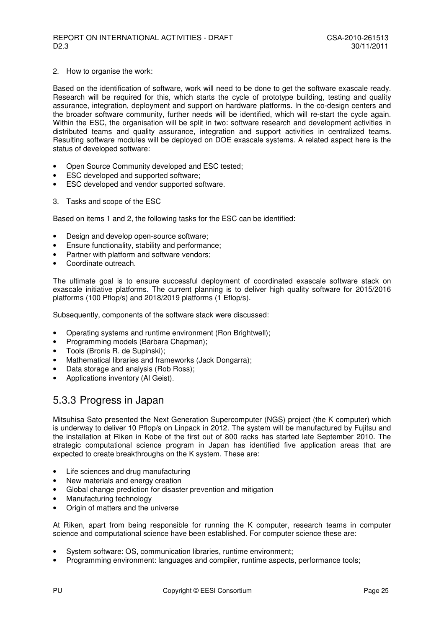#### 2. How to organise the work:

Based on the identification of software, work will need to be done to get the software exascale ready. Research will be required for this, which starts the cycle of prototype building, testing and quality assurance, integration, deployment and support on hardware platforms. In the co-design centers and the broader software community, further needs will be identified, which will re-start the cycle again. Within the ESC, the organisation will be split in two: software research and development activities in distributed teams and quality assurance, integration and support activities in centralized teams. Resulting software modules will be deployed on DOE exascale systems. A related aspect here is the status of developed software:

- Open Source Community developed and ESC tested;
- ESC developed and supported software;
- ESC developed and vendor supported software.
- 3. Tasks and scope of the ESC

Based on items 1 and 2, the following tasks for the ESC can be identified:

- Design and develop open-source software:
- Ensure functionality, stability and performance;
- Partner with platform and software vendors;
- Coordinate outreach.

The ultimate goal is to ensure successful deployment of coordinated exascale software stack on exascale initiative platforms. The current planning is to deliver high quality software for 2015/2016 platforms (100 Pflop/s) and 2018/2019 platforms (1 Eflop/s).

Subsequently, components of the software stack were discussed:

- Operating systems and runtime environment (Ron Brightwell);
- Programming models (Barbara Chapman);
- Tools (Bronis R. de Supinski);
- Mathematical libraries and frameworks (Jack Dongarra);
- Data storage and analysis (Rob Ross);
- Applications inventory (Al Geist).

#### 5.3.3 Progress in Japan

Mitsuhisa Sato presented the Next Generation Supercomputer (NGS) project (the K computer) which is underway to deliver 10 Pflop/s on Linpack in 2012. The system will be manufactured by Fujitsu and the installation at Riken in Kobe of the first out of 800 racks has started late September 2010. The strategic computational science program in Japan has identified five application areas that are expected to create breakthroughs on the K system. These are:

- Life sciences and drug manufacturing
- New materials and energy creation
- Global change prediction for disaster prevention and mitigation
- Manufacturing technology
- Origin of matters and the universe

At Riken, apart from being responsible for running the K computer, research teams in computer science and computational science have been established. For computer science these are:

- System software: OS, communication libraries, runtime environment;
- Programming environment: languages and compiler, runtime aspects, performance tools;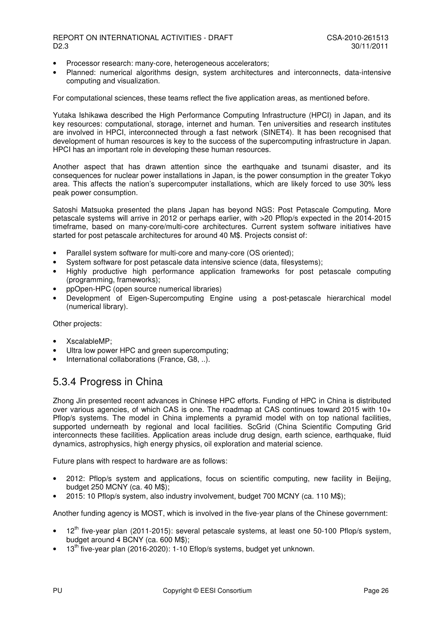- Processor research: many-core, heterogeneous accelerators;
- Planned: numerical algorithms design, system architectures and interconnects, data-intensive computing and visualization.

For computational sciences, these teams reflect the five application areas, as mentioned before.

Yutaka Ishikawa described the High Performance Computing Infrastructure (HPCI) in Japan, and its key resources: computational, storage, internet and human. Ten universities and research institutes are involved in HPCI, interconnected through a fast network (SINET4). It has been recognised that development of human resources is key to the success of the supercomputing infrastructure in Japan. HPCI has an important role in developing these human resources.

Another aspect that has drawn attention since the earthquake and tsunami disaster, and its consequences for nuclear power installations in Japan, is the power consumption in the greater Tokyo area. This affects the nation's supercomputer installations, which are likely forced to use 30% less peak power consumption.

Satoshi Matsuoka presented the plans Japan has beyond NGS: Post Petascale Computing. More petascale systems will arrive in 2012 or perhaps earlier, with >20 Pflop/s expected in the 2014-2015 timeframe, based on many-core/multi-core architectures. Current system software initiatives have started for post petascale architectures for around 40 M\$. Projects consist of:

- Parallel system software for multi-core and many-core (OS oriented);
- System software for post petascale data intensive science (data, filesystems);
- Highly productive high performance application frameworks for post petascale computing (programming, frameworks);
- ppOpen-HPC (open source numerical libraries)
- Development of Eigen-Supercomputing Engine using a post-petascale hierarchical model (numerical library).

Other projects:

- XscalableMP;
- Ultra low power HPC and green supercomputing;
- International collaborations (France, G8, ..).

#### 5.3.4 Progress in China

Zhong Jin presented recent advances in Chinese HPC efforts. Funding of HPC in China is distributed over various agencies, of which CAS is one. The roadmap at CAS continues toward 2015 with 10+ Pflop/s systems. The model in China implements a pyramid model with on top national facilities, supported underneath by regional and local facilities. ScGrid (China Scientific Computing Grid interconnects these facilities. Application areas include drug design, earth science, earthquake, fluid dynamics, astrophysics, high energy physics, oil exploration and material science.

Future plans with respect to hardware are as follows:

- 2012: Pflop/s system and applications, focus on scientific computing, new facility in Beijing, budget 250 MCNY (ca. 40 M\$);
- 2015: 10 Pflop/s system, also industry involvement, budget 700 MCNY (ca. 110 M\$);

Another funding agency is MOST, which is involved in the five-year plans of the Chinese government:

- $12<sup>th</sup>$  five-year plan (2011-2015): several petascale systems, at least one 50-100 Pflop/s system, budget around 4 BCNY (ca. 600 M\$);
- 13<sup>th</sup> five-year plan (2016-2020): 1-10 Eflop/s systems, budget yet unknown.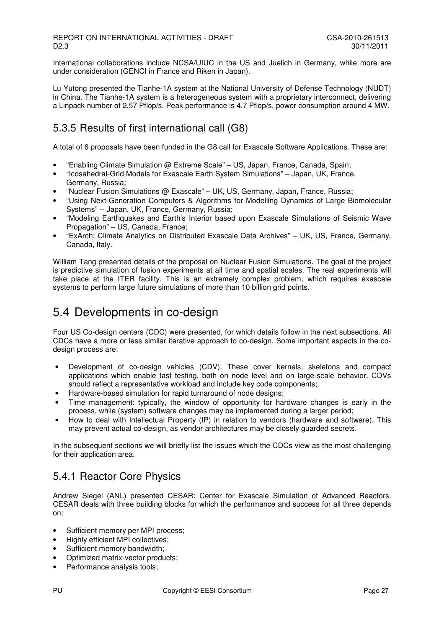International collaborations include NCSA/UIUC in the US and Juelich in Germany, while more are under consideration (GENCI in France and Riken in Japan).

Lu Yutong presented the Tianhe-1A system at the National University of Defense Technology (NUDT) in China. The Tianhe-1A system is a heterogeneous system with a proprietary interconnect, delivering a Linpack number of 2.57 Pflop/s. Peak performance is 4.7 Pflop/s, power consumption around 4 MW.

### 5.3.5 Results of first international call (G8)

A total of 6 proposals have been funded in the G8 call for Exascale Software Applications. These are:

- "Enabling Climate Simulation @ Extreme Scale" US, Japan, France, Canada, Spain;
- "Icosahedral-Grid Models for Exascale Earth System Simulations" Japan, UK, France, Germany, Russia;
- "Nuclear Fusion Simulations @ Exascale" UK, US, Germany, Japan, France, Russia;
- "Using Next-Generation Computers & Algorithms for Modelling Dynamics of Large Biomolecular Systems" -- Japan, UK, France, Germany, Russia;
- "Modeling Earthquakes and Earth's Interior based upon Exascale Simulations of Seismic Wave Propagation" – US, Canada, France;
- "ExArch: Climate Analytics on Distributed Exascale Data Archives" UK, US, France, Germany, Canada, Italy.

William Tang presented details of the proposal on Nuclear Fusion Simulations. The goal of the project is predictive simulation of fusion experiments at all time and spatial scales. The real experiments will take place at the ITER facility. This is an extremely complex problem, which requires exascale systems to perform large future simulations of more than 10 billion grid points.

## 5.4 Developments in co-design

Four US Co-design centers (CDC) were presented, for which details follow in the next subsections. All CDCs have a more or less similar iterative approach to co-design. Some important aspects in the codesign process are:

- Development of co-design vehicles (CDV). These cover kernels, skeletons and compact applications which enable fast testing, both on node level and on large-scale behavior. CDVs should reflect a representative workload and include key code components;
- Hardware-based simulation for rapid turnaround of node designs;
- Time management: typically, the window of opportunity for hardware changes is early in the process, while (system) software changes may be implemented during a larger period;
- How to deal with Intellectual Property (IP) in relation to vendors (hardware and software). This may prevent actual co-design, as vendor architectures may be closely guarded secrets.

In the subsequent sections we will briefly list the issues which the CDCs view as the most challenging for their application area.

### 5.4.1 Reactor Core Physics

Andrew Siegel (ANL) presented CESAR: Center for Exascale Simulation of Advanced Reactors. CESAR deals with three building blocks for which the performance and success for all three depends on:

- Sufficient memory per MPI process;
- Highly efficient MPI collectives;
- Sufficient memory bandwidth;
- Optimized matrix-vector products;
- Performance analysis tools;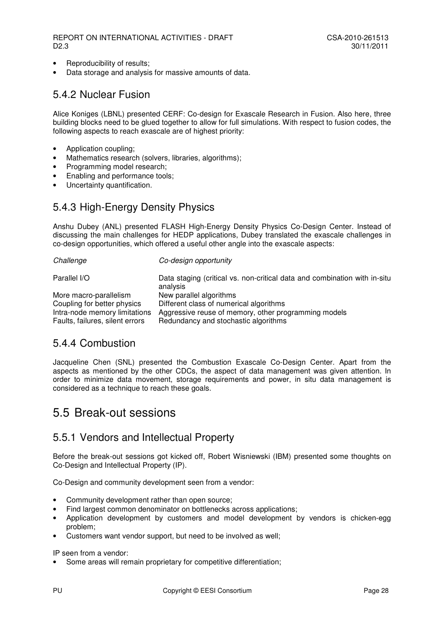- Reproducibility of results;
- Data storage and analysis for massive amounts of data.

### 5.4.2 Nuclear Fusion

Alice Koniges (LBNL) presented CERF: Co-design for Exascale Research in Fusion. Also here, three building blocks need to be glued together to allow for full simulations. With respect to fusion codes, the following aspects to reach exascale are of highest priority:

- Application coupling;
- Mathematics research (solvers, libraries, algorithms);
- Programming model research;
- Enabling and performance tools;
- Uncertainty quantification.

### 5.4.3 High-Energy Density Physics

Anshu Dubey (ANL) presented FLASH High-Energy Density Physics Co-Design Center. Instead of discussing the main challenges for HEDP applications, Dubey translated the exascale challenges in co-design opportunities, which offered a useful other angle into the exascale aspects:

| Challenge                       | Co-design opportunity                                                                 |
|---------------------------------|---------------------------------------------------------------------------------------|
| Parallel I/O                    | Data staging (critical vs. non-critical data and combination with in-situ<br>analysis |
| More macro-parallelism          | New parallel algorithms                                                               |
| Coupling for better physics     | Different class of numerical algorithms                                               |
| Intra-node memory limitations   | Aggressive reuse of memory, other programming models                                  |
| Faults, failures, silent errors | Redundancy and stochastic algorithms                                                  |

### 5.4.4 Combustion

Jacqueline Chen (SNL) presented the Combustion Exascale Co-Design Center. Apart from the aspects as mentioned by the other CDCs, the aspect of data management was given attention. In order to minimize data movement, storage requirements and power, in situ data management is considered as a technique to reach these goals.

## 5.5 Break-out sessions

#### 5.5.1 Vendors and Intellectual Property

Before the break-out sessions got kicked off, Robert Wisniewski (IBM) presented some thoughts on Co-Design and Intellectual Property (IP).

Co-Design and community development seen from a vendor:

- Community development rather than open source;
- Find largest common denominator on bottlenecks across applications;
- Application development by customers and model development by vendors is chicken-egg problem;
- Customers want vendor support, but need to be involved as well;

#### IP seen from a vendor:

• Some areas will remain proprietary for competitive differentiation;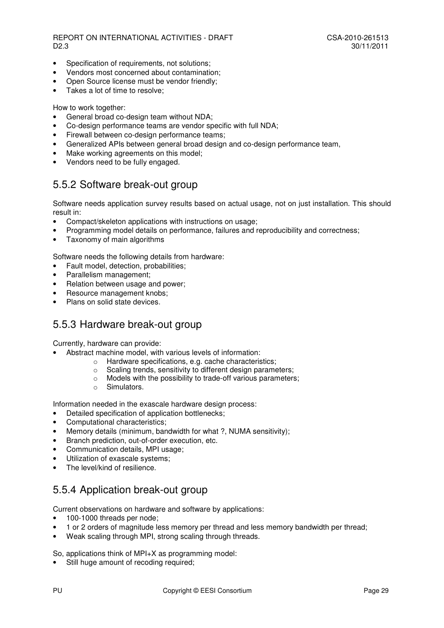- Specification of requirements, not solutions;
- Vendors most concerned about contamination;
- Open Source license must be vendor friendly;
- Takes a lot of time to resolve;

How to work together:

- General broad co-design team without NDA;
- Co-design performance teams are vendor specific with full NDA;
- Firewall between co-design performance teams;
- Generalized APIs between general broad design and co-design performance team,
- Make working agreements on this model;
- Vendors need to be fully engaged.

#### 5.5.2 Software break-out group

Software needs application survey results based on actual usage, not on just installation. This should result in:

- Compact/skeleton applications with instructions on usage;
- Programming model details on performance, failures and reproducibility and correctness;
- Taxonomy of main algorithms

Software needs the following details from hardware:

- Fault model, detection, probabilities;
- Parallelism management;
- Relation between usage and power:
- Resource management knobs:
- Plans on solid state devices.

#### 5.5.3 Hardware break-out group

Currently, hardware can provide:

- Abstract machine model, with various levels of information:
	- o Hardware specifications, e.g. cache characteristics;
	- o Scaling trends, sensitivity to different design parameters;
	- o Models with the possibility to trade-off various parameters;
	- o Simulators.

Information needed in the exascale hardware design process:

- Detailed specification of application bottlenecks;
- Computational characteristics;
- Memory details (minimum, bandwidth for what ?, NUMA sensitivity);
- Branch prediction, out-of-order execution, etc.
- Communication details, MPI usage;
- Utilization of exascale systems:
- The level/kind of resilience

### 5.5.4 Application break-out group

Current observations on hardware and software by applications:

- 100-1000 threads per node;
- 1 or 2 orders of magnitude less memory per thread and less memory bandwidth per thread;
- Weak scaling through MPI, strong scaling through threads.

So, applications think of MPI+X as programming model:

Still huge amount of recoding required;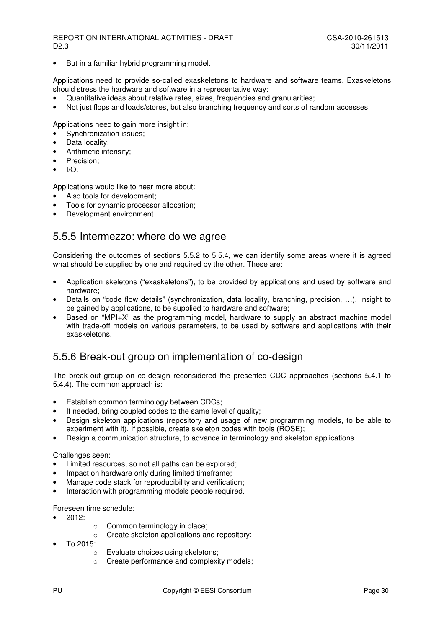• But in a familiar hybrid programming model.

Applications need to provide so-called exaskeletons to hardware and software teams. Exaskeletons should stress the hardware and software in a representative way:

- Quantitative ideas about relative rates, sizes, frequencies and granularities;
- Not just flops and loads/stores, but also branching frequency and sorts of random accesses.

Applications need to gain more insight in:

- Synchronization issues;
- Data locality;
- Arithmetic intensity;
- Precision:
- $I/\Omega$

Applications would like to hear more about:

- Also tools for development:
- Tools for dynamic processor allocation;
- Development environment.

#### 5.5.5 Intermezzo: where do we agree

Considering the outcomes of sections 5.5.2 to 5.5.4, we can identify some areas where it is agreed what should be supplied by one and required by the other. These are:

- Application skeletons ("exaskeletons"), to be provided by applications and used by software and hardware;
- Details on "code flow details" (synchronization, data locality, branching, precision, …). Insight to be gained by applications, to be supplied to hardware and software;
- Based on "MPI+X" as the programming model, hardware to supply an abstract machine model with trade-off models on various parameters, to be used by software and applications with their exaskeletons.

#### 5.5.6 Break-out group on implementation of co-design

The break-out group on co-design reconsidered the presented CDC approaches (sections 5.4.1 to 5.4.4). The common approach is:

- Establish common terminology between CDCs;
- If needed, bring coupled codes to the same level of quality;
- Design skeleton applications (repository and usage of new programming models, to be able to experiment with it). If possible, create skeleton codes with tools (ROSE);
- Design a communication structure, to advance in terminology and skeleton applications.

#### Challenges seen:

- Limited resources, so not all paths can be explored;
- Impact on hardware only during limited timeframe;
- Manage code stack for reproducibility and verification;
- Interaction with programming models people required.

Foreseen time schedule:

- 2012:
- o Common terminology in place;
- o Create skeleton applications and repository;
- To 2015:
	- o Evaluate choices using skeletons;
	- o Create performance and complexity models;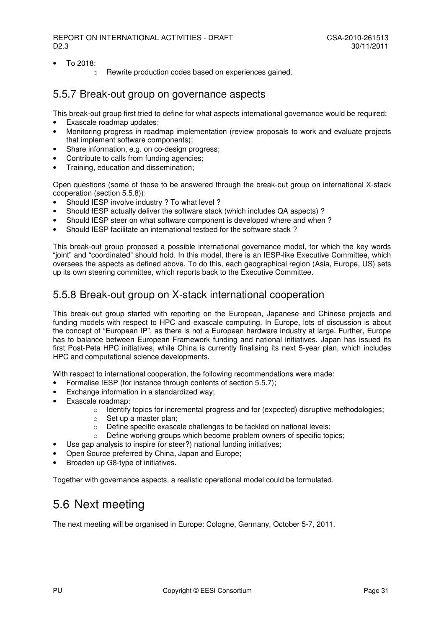- $\bullet$  To 2018:
	- o Rewrite production codes based on experiences gained.

#### 5.5.7 Break-out group on governance aspects

This break-out group first tried to define for what aspects international governance would be required:

- Exascale roadmap updates;
- Monitoring progress in roadmap implementation (review proposals to work and evaluate projects that implement software components);
- Share information, e.g. on co-design progress;
- Contribute to calls from funding agencies;
- Training, education and dissemination;

Open questions (some of those to be answered through the break-out group on international X-stack cooperation (section 5.5.8)):

- Should IESP involve industry ? To what level ?
- Should IESP actually deliver the software stack (which includes QA aspects) ?
- Should IESP steer on what software component is developed where and when ?
- Should IESP facilitate an international testbed for the software stack ?

This break-out group proposed a possible international governance model, for which the key words "joint" and "coordinated" should hold. In this model, there is an IESP-like Executive Committee, which oversees the aspects as defined above. To do this, each geographical region (Asia, Europe, US) sets up its own steering committee, which reports back to the Executive Committee.

### 5.5.8 Break-out group on X-stack international cooperation

This break-out group started with reporting on the European, Japanese and Chinese projects and funding models with respect to HPC and exascale computing. In Europe, lots of discussion is about the concept of "European IP", as there is not a European hardware industry at large. Further, Europe has to balance between European Framework funding and national initiatives. Japan has issued its first Post-Peta HPC initiatives, while China is currently finalising its next 5-year plan, which includes HPC and computational science developments.

With respect to international cooperation, the following recommendations were made:

- Formalise IESP (for instance through contents of section 5.5.7):
	- Exchange information in a standardized way;
- Exascale roadmap:
	- o Identify topics for incremental progress and for (expected) disruptive methodologies;
	- o Set up a master plan;
	- o Define specific exascale challenges to be tackled on national levels;
	- Define working groups which become problem owners of specific topics;
- Use gap analysis to inspire (or steer?) national funding initiatives;
- Open Source preferred by China, Japan and Europe;
- Broaden up G8-type of initiatives.

Together with governance aspects, a realistic operational model could be formulated.

## 5.6 Next meeting

The next meeting will be organised in Europe: Cologne, Germany, October 5-7, 2011.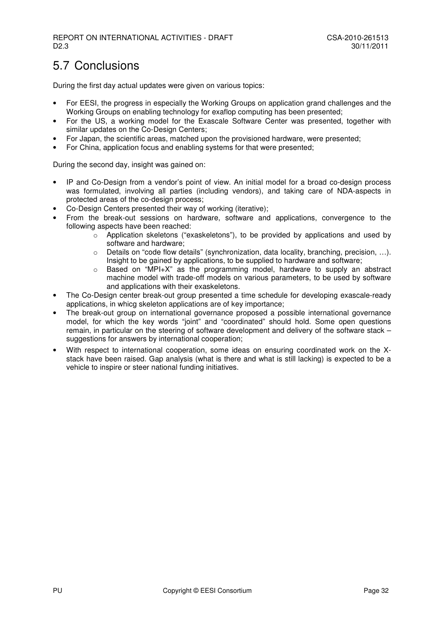## 5.7 Conclusions

During the first day actual updates were given on various topics:

- For EESI, the progress in especially the Working Groups on application grand challenges and the Working Groups on enabling technology for exaflop computing has been presented;
- For the US, a working model for the Exascale Software Center was presented, together with similar updates on the Co-Design Centers;
- For Japan, the scientific areas, matched upon the provisioned hardware, were presented;
- For China, application focus and enabling systems for that were presented;

During the second day, insight was gained on:

- IP and Co-Design from a vendor's point of view. An initial model for a broad co-design process was formulated, involving all parties (including vendors), and taking care of NDA-aspects in protected areas of the co-design process;
- Co-Design Centers presented their way of working (iterative);
- From the break-out sessions on hardware, software and applications, convergence to the following aspects have been reached:
	- $\circ$  Application skeletons ("exaskeletons"), to be provided by applications and used by software and hardware;
	- o Details on "code flow details" (synchronization, data locality, branching, precision, …). Insight to be gained by applications, to be supplied to hardware and software;
	- o Based on "MPI+X" as the programming model, hardware to supply an abstract machine model with trade-off models on various parameters, to be used by software and applications with their exaskeletons.
- The Co-Design center break-out group presented a time schedule for developing exascale-ready applications, in whicg skeleton applications are of key importance;
- The break-out group on international governance proposed a possible international governance model, for which the key words "joint" and "coordinated" should hold. Some open questions remain, in particular on the steering of software development and delivery of the software stack – suggestions for answers by international cooperation;
- With respect to international cooperation, some ideas on ensuring coordinated work on the Xstack have been raised. Gap analysis (what is there and what is still lacking) is expected to be a vehicle to inspire or steer national funding initiatives.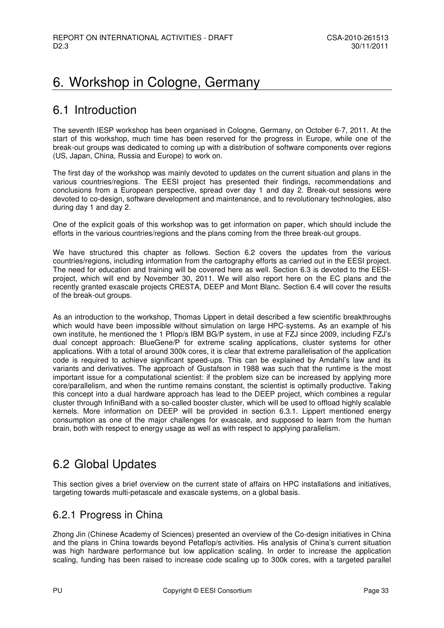## 6. Workshop in Cologne, Germany

## 6.1 Introduction

The seventh IESP workshop has been organised in Cologne, Germany, on October 6-7, 2011. At the start of this workshop, much time has been reserved for the progress in Europe, while one of the break-out groups was dedicated to coming up with a distribution of software components over regions (US, Japan, China, Russia and Europe) to work on.

The first day of the workshop was mainly devoted to updates on the current situation and plans in the various countries/regions. The EESI project has presented their findings, recommendations and conclusions from a European perspective, spread over day 1 and day 2. Break-out sessions were devoted to co-design, software development and maintenance, and to revolutionary technologies, also during day 1 and day 2.

One of the explicit goals of this workshop was to get information on paper, which should include the efforts in the various countries/regions and the plans coming from the three break-out groups.

We have structured this chapter as follows. Section 6.2 covers the updates from the various countries/regions, including information from the cartography efforts as carried out in the EESI project. The need for education and training will be covered here as well. Section 6.3 is devoted to the EESIproject, which will end by November 30, 2011. We will also report here on the EC plans and the recently granted exascale projects CRESTA, DEEP and Mont Blanc. Section 6.4 will cover the results of the break-out groups.

As an introduction to the workshop, Thomas Lippert in detail described a few scientific breakthroughs which would have been impossible without simulation on large HPC-systems. As an example of his own institute, he mentioned the 1 Pflop/s IBM BG/P system, in use at FZJ since 2009, including FZJ's dual concept approach: BlueGene/P for extreme scaling applications, cluster systems for other applications. With a total of around 300k cores, it is clear that extreme parallelisation of the application code is required to achieve significant speed-ups. This can be explained by Amdahl's law and its variants and derivatives. The approach of Gustafson in 1988 was such that the runtime is the most important issue for a computational scientist: if the problem size can be increased by applying more core/parallelism, and when the runtime remains constant, the scientist is optimally productive. Taking this concept into a dual hardware approach has lead to the DEEP project, which combines a regular cluster through InfiniBand with a so-called booster cluster, which will be used to offload highly scalable kernels. More information on DEEP will be provided in section 6.3.1. Lippert mentioned energy consumption as one of the major challenges for exascale, and supposed to learn from the human brain, both with respect to energy usage as well as with respect to applying parallelism.

## 6.2 Global Updates

This section gives a brief overview on the current state of affairs on HPC installations and initiatives, targeting towards multi-petascale and exascale systems, on a global basis.

### 6.2.1 Progress in China

Zhong Jin (Chinese Academy of Sciences) presented an overview of the Co-design initiatives in China and the plans in China towards beyond Petaflop/s activities. His analysis of China's current situation was high hardware performance but low application scaling. In order to increase the application scaling, funding has been raised to increase code scaling up to 300k cores, with a targeted parallel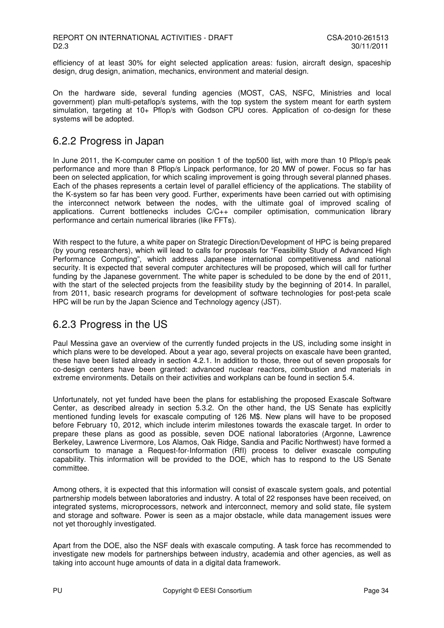efficiency of at least 30% for eight selected application areas: fusion, aircraft design, spaceship design, drug design, animation, mechanics, environment and material design.

On the hardware side, several funding agencies (MOST, CAS, NSFC, Ministries and local government) plan multi-petaflop/s systems, with the top system the system meant for earth system simulation, targeting at 10+ Pflop/s with Godson CPU cores. Application of co-design for these systems will be adopted.

#### 6.2.2 Progress in Japan

In June 2011, the K-computer came on position 1 of the top500 list, with more than 10 Pflop/s peak performance and more than 8 Pflop/s Linpack performance, for 20 MW of power. Focus so far has been on selected application, for which scaling improvement is going through several planned phases. Each of the phases represents a certain level of parallel efficiency of the applications. The stability of the K-system so far has been very good. Further, experiments have been carried out with optimising the interconnect network between the nodes, with the ultimate goal of improved scaling of applications. Current bottlenecks includes C/C++ compiler optimisation, communication library performance and certain numerical libraries (like FFTs).

With respect to the future, a white paper on Strategic Direction/Development of HPC is being prepared (by young researchers), which will lead to calls for proposals for "Feasibility Study of Advanced High Performance Computing", which address Japanese international competitiveness and national security. It is expected that several computer architectures will be proposed, which will call for further funding by the Japanese government. The white paper is scheduled to be done by the end of 2011, with the start of the selected projects from the feasibility study by the beginning of 2014. In parallel, from 2011, basic research programs for development of software technologies for post-peta scale HPC will be run by the Japan Science and Technology agency (JST).

#### 6.2.3 Progress in the US

Paul Messina gave an overview of the currently funded projects in the US, including some insight in which plans were to be developed. About a year ago, several projects on exascale have been granted, these have been listed already in section 4.2.1. In addition to those, three out of seven proposals for co-design centers have been granted: advanced nuclear reactors, combustion and materials in extreme environments. Details on their activities and workplans can be found in section 5.4.

Unfortunately, not yet funded have been the plans for establishing the proposed Exascale Software Center, as described already in section 5.3.2. On the other hand, the US Senate has explicitly mentioned funding levels for exascale computing of 126 M\$. New plans will have to be proposed before February 10, 2012, which include interim milestones towards the exascale target. In order to prepare these plans as good as possible, seven DOE national laboratories (Argonne, Lawrence Berkeley, Lawrence Livermore, Los Alamos, Oak Ridge, Sandia and Pacific Northwest) have formed a consortium to manage a Request-for-Information (RfI) process to deliver exascale computing capability. This information will be provided to the DOE, which has to respond to the US Senate committee.

Among others, it is expected that this information will consist of exascale system goals, and potential partnership models between laboratories and industry. A total of 22 responses have been received, on integrated systems, microprocessors, network and interconnect, memory and solid state, file system and storage and software. Power is seen as a major obstacle, while data management issues were not yet thoroughly investigated.

Apart from the DOE, also the NSF deals with exascale computing. A task force has recommended to investigate new models for partnerships between industry, academia and other agencies, as well as taking into account huge amounts of data in a digital data framework.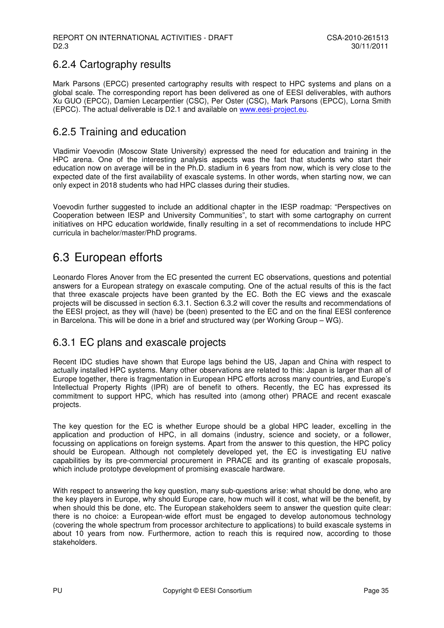### 6.2.4 Cartography results

Mark Parsons (EPCC) presented cartography results with respect to HPC systems and plans on a global scale. The corresponding report has been delivered as one of EESI deliverables, with authors Xu GUO (EPCC), Damien Lecarpentier (CSC), Per Oster (CSC), Mark Parsons (EPCC), Lorna Smith (EPCC). The actual deliverable is D2.1 and available on www.eesi-project.eu.

### 6.2.5 Training and education

Vladimir Voevodin (Moscow State University) expressed the need for education and training in the HPC arena. One of the interesting analysis aspects was the fact that students who start their education now on average will be in the Ph.D. stadium in 6 years from now, which is very close to the expected date of the first availability of exascale systems. In other words, when starting now, we can only expect in 2018 students who had HPC classes during their studies.

Voevodin further suggested to include an additional chapter in the IESP roadmap: "Perspectives on Cooperation between IESP and University Communities", to start with some cartography on current initiatives on HPC education worldwide, finally resulting in a set of recommendations to include HPC curricula in bachelor/master/PhD programs.

## 6.3 European efforts

Leonardo Flores Anover from the EC presented the current EC observations, questions and potential answers for a European strategy on exascale computing. One of the actual results of this is the fact that three exascale projects have been granted by the EC. Both the EC views and the exascale projects will be discussed in section 6.3.1. Section 6.3.2 will cover the results and recommendations of the EESI project, as they will (have) be (been) presented to the EC and on the final EESI conference in Barcelona. This will be done in a brief and structured way (per Working Group – WG).

#### 6.3.1 EC plans and exascale projects

Recent IDC studies have shown that Europe lags behind the US, Japan and China with respect to actually installed HPC systems. Many other observations are related to this: Japan is larger than all of Europe together, there is fragmentation in European HPC efforts across many countries, and Europe's Intellectual Property Rights (IPR) are of benefit to others. Recently, the EC has expressed its commitment to support HPC, which has resulted into (among other) PRACE and recent exascale projects.

The key question for the EC is whether Europe should be a global HPC leader, excelling in the application and production of HPC, in all domains (industry, science and society, or a follower, focussing on applications on foreign systems. Apart from the answer to this question, the HPC policy should be European. Although not completely developed yet, the EC is investigating EU native capabilities by its pre-commercial procurement in PRACE and its granting of exascale proposals, which include prototype development of promising exascale hardware.

With respect to answering the key question, many sub-questions arise: what should be done, who are the key players in Europe, why should Europe care, how much will it cost, what will be the benefit, by when should this be done, etc. The European stakeholders seem to answer the question quite clear: there is no choice: a European-wide effort must be engaged to develop autonomous technology (covering the whole spectrum from processor architecture to applications) to build exascale systems in about 10 years from now. Furthermore, action to reach this is required now, according to those stakeholders.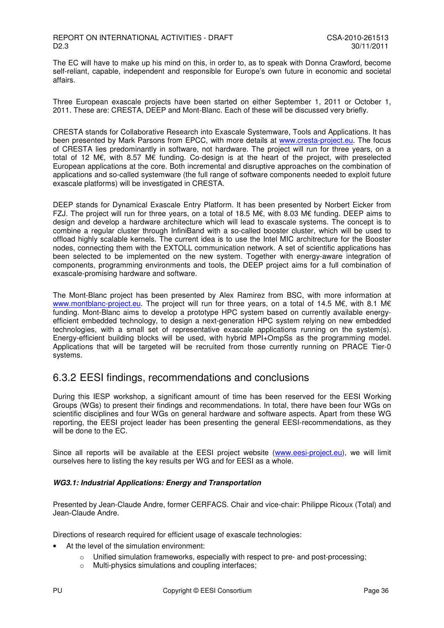The EC will have to make up his mind on this, in order to, as to speak with Donna Crawford, become self-reliant, capable, independent and responsible for Europe's own future in economic and societal affairs.

Three European exascale projects have been started on either September 1, 2011 or October 1, 2011. These are: CRESTA, DEEP and Mont-Blanc. Each of these will be discussed very briefly.

CRESTA stands for Collaborative Research into Exascale Systemware, Tools and Applications. It has been presented by Mark Parsons from EPCC, with more details at www.cresta-project.eu. The focus of CRESTA lies predominantly in software, not hardware. The project will run for three years, on a total of 12 M€, with 8.57 M€ funding. Co-design is at the heart of the project, with preselected European applications at the core. Both incremental and disruptive approaches on the combination of applications and so-called systemware (the full range of software components needed to exploit future exascale platforms) will be investigated in CRESTA.

DEEP stands for Dynamical Exascale Entry Platform. It has been presented by Norbert Eicker from FZJ. The project will run for three years, on a total of 18.5 M€, with 8.03 M€ funding. DEEP aims to design and develop a hardware architecture which will lead to exascale systems. The concept is to combine a regular cluster through InfiniBand with a so-called booster cluster, which will be used to offload highly scalable kernels. The current idea is to use the Intel MIC architrecture for the Booster nodes, connecting them with the EXTOLL communication network. A set of scientific applications has been selected to be implemented on the new system. Together with energy-aware integration of components, programming environments and tools, the DEEP project aims for a full combination of exascale-promising hardware and software.

The Mont-Blanc project has been presented by Alex Ramirez from BSC, with more information at www.montblanc-project.eu. The project will run for three years, on a total of 14.5 M€, with 8.1 M€ funding. Mont-Blanc aims to develop a prototype HPC system based on currently available energyefficient embedded technology, to design a next-generation HPC system relying on new embedded technologies, with a small set of representative exascale applications running on the system(s). Energy-efficient building blocks will be used, with hybrid MPI+OmpSs as the programming model. Applications that will be targeted will be recruited from those currently running on PRACE Tier-0 systems.

#### 6.3.2 EESI findings, recommendations and conclusions

During this IESP workshop, a significant amount of time has been reserved for the EESI Working Groups (WGs) to present their findings and recommendations. In total, there have been four WGs on scientific disciplines and four WGs on general hardware and software aspects. Apart from these WG reporting, the EESI project leader has been presenting the general EESI-recommendations, as they will be done to the EC.

Since all reports will be available at the EESI project website (www.eesi-project.eu), we will limit ourselves here to listing the key results per WG and for EESI as a whole.

#### **WG3.1: Industrial Applications: Energy and Transportation**

Presented by Jean-Claude Andre, former CERFACS. Chair and vice-chair: Philippe Ricoux (Total) and Jean-Claude Andre.

Directions of research required for efficient usage of exascale technologies:

- At the level of the simulation environment:
	- $\circ$  Unified simulation frameworks, especially with respect to pre- and post-processing;
	- o Multi-physics simulations and coupling interfaces;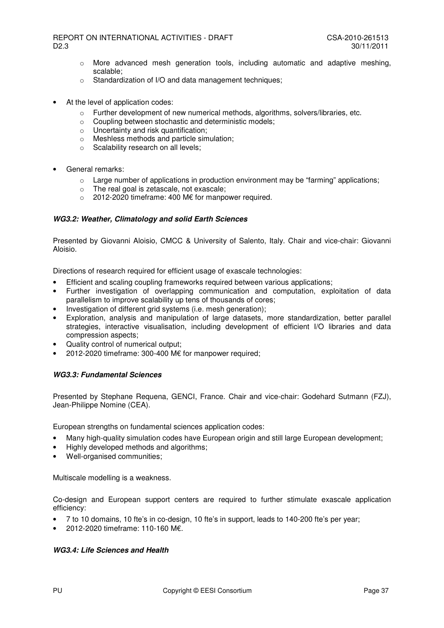- $\circ$  More advanced mesh generation tools, including automatic and adaptive meshing, scalable;
- o Standardization of I/O and data management techniques;
- At the level of application codes:
	- $\circ$  Further development of new numerical methods, algorithms, solvers/libraries, etc.
	- o Coupling between stochastic and deterministic models;
	- $\circ$  Uncertainty and risk quantification:
	- o Meshless methods and particle simulation;
	- o Scalability research on all levels;
- General remarks:
	- $\circ$  Large number of applications in production environment may be "farming" applications;
	- o The real goal is zetascale, not exascale;
	- o 2012-2020 timeframe: 400 M€ for manpower required.

#### **WG3.2: Weather, Climatology and solid Earth Sciences**

Presented by Giovanni Aloisio, CMCC & University of Salento, Italy. Chair and vice-chair: Giovanni Aloisio.

Directions of research required for efficient usage of exascale technologies:

- Efficient and scaling coupling frameworks required between various applications;
- Further investigation of overlapping communication and computation, exploitation of data parallelism to improve scalability up tens of thousands of cores;
- Investigation of different grid systems (i.e. mesh generation);
- Exploration, analysis and manipulation of large datasets, more standardization, better parallel strategies, interactive visualisation, including development of efficient I/O libraries and data compression aspects;
- Quality control of numerical output;
- 2012-2020 timeframe: 300-400 M€ for manpower required;

#### **WG3.3: Fundamental Sciences**

Presented by Stephane Requena, GENCI, France. Chair and vice-chair: Godehard Sutmann (FZJ), Jean-Philippe Nomine (CEA).

European strengths on fundamental sciences application codes:

- Many high-quality simulation codes have European origin and still large European development;
- Highly developed methods and algorithms;
- Well-organised communities:

Multiscale modelling is a weakness.

Co-design and European support centers are required to further stimulate exascale application efficiency:

- 7 to 10 domains, 10 fte's in co-design, 10 fte's in support, leads to 140-200 fte's per year;
- 2012-2020 timeframe: 110-160 M€.

#### **WG3.4: Life Sciences and Health**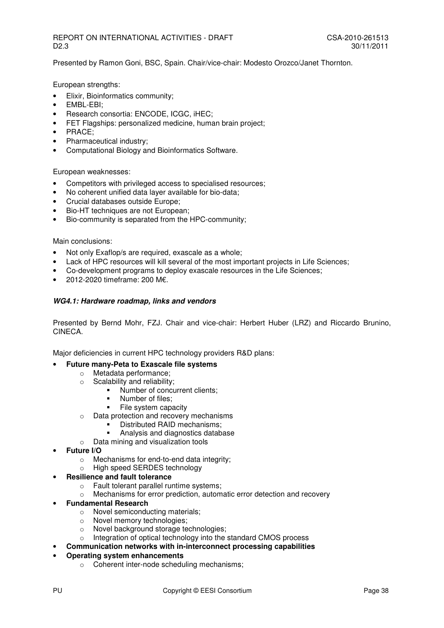Presented by Ramon Goni, BSC, Spain. Chair/vice-chair: Modesto Orozco/Janet Thornton.

European strengths:

- Elixir, Bioinformatics community;
- EMBL-EBI;
- Research consortia: ENCODE, ICGC, iHEC;
- FET Flagships: personalized medicine, human brain project;
- PRACE;
- Pharmaceutical industry;
- Computational Biology and Bioinformatics Software.

European weaknesses:

- Competitors with privileged access to specialised resources;
- No coherent unified data layer available for bio-data;
- Crucial databases outside Europe;
- Bio-HT techniques are not European;
- Bio-community is separated from the HPC-community;

#### Main conclusions:

- Not only Exaflop/s are required, exascale as a whole;
- Lack of HPC resources will kill several of the most important projects in Life Sciences;
- Co-development programs to deploy exascale resources in the Life Sciences;
- 2012-2020 timeframe: 200 M€.

#### **WG4.1: Hardware roadmap, links and vendors**

Presented by Bernd Mohr, FZJ. Chair and vice-chair: Herbert Huber (LRZ) and Riccardo Brunino, CINECA.

Major deficiencies in current HPC technology providers R&D plans:

#### • **Future many-Peta to Exascale file systems**

- o Metadata performance;
- o Scalability and reliability;
	- Number of concurrent clients:
		- Number of files;<br>■ File system capa
		- File system capacity
- o Data protection and recovery mechanisms
	- Distributed RAID mechanisms;
		- Analysis and diagnostics database
- o Data mining and visualization tools
- **Future I/O**
	- o Mechanisms for end-to-end data integrity;
	- o High speed SERDES technology

#### • **Resilience and fault tolerance**

- o Fault tolerant parallel runtime systems;
- $\circ$  Mechanisms for error prediction, automatic error detection and recovery
- **Fundamental Research**
	- o Novel semiconducting materials;
	- o Novel memory technologies;
	- o Novel background storage technologies;
	- o Integration of optical technology into the standard CMOS process
	- **Communication networks with in-interconnect processing capabilities**

#### • **Operating system enhancements**

o Coherent inter-node scheduling mechanisms;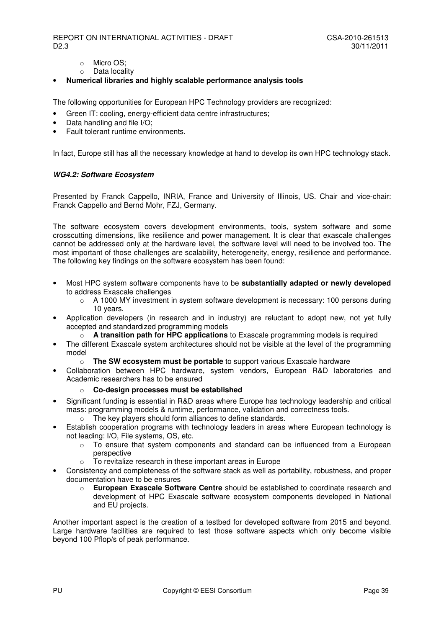- o Micro OS;
- o Data locality
- **Numerical libraries and highly scalable performance analysis tools**

The following opportunities for European HPC Technology providers are recognized:

- Green IT: cooling, energy-efficient data centre infrastructures;
- Data handling and file I/O;
- Fault tolerant runtime environments.

In fact, Europe still has all the necessary knowledge at hand to develop its own HPC technology stack.

#### **WG4.2: Software Ecosystem**

Presented by Franck Cappello, INRIA, France and University of Illinois, US. Chair and vice-chair: Franck Cappello and Bernd Mohr, FZJ, Germany.

The software ecosystem covers development environments, tools, system software and some crosscutting dimensions, like resilience and power management. It is clear that exascale challenges cannot be addressed only at the hardware level, the software level will need to be involved too. The most important of those challenges are scalability, heterogeneity, energy, resilience and performance. The following key findings on the software ecosystem has been found:

- Most HPC system software components have to be **substantially adapted or newly developed**  to address Exascale challenges
	- $\circ$  A 1000 MY investment in system software development is necessary: 100 persons during 10 years.
- Application developers (in research and in industry) are reluctant to adopt new, not yet fully accepted and standardized programming models
	- o **A transition path for HPC applications** to Exascale programming models is required
- The different Exascale system architectures should not be visible at the level of the programming model
	- o **The SW ecosystem must be portable** to support various Exascale hardware
- Collaboration between HPC hardware, system vendors, European R&D laboratories and Academic researchers has to be ensured

#### o **Co-design processes must be established**

- Significant funding is essential in R&D areas where Europe has technology leadership and critical mass: programming models & runtime, performance, validation and correctness tools.
	- o The key players should form alliances to define standards.
- Establish cooperation programs with technology leaders in areas where European technology is not leading: I/O, File systems, OS, etc.
	- o To ensure that system components and standard can be influenced from a European perspective
	- o To revitalize research in these important areas in Europe
- Consistency and completeness of the software stack as well as portability, robustness, and proper documentation have to be ensures
	- o **European Exascale Software Centre** should be established to coordinate research and development of HPC Exascale software ecosystem components developed in National and EU projects.

Another important aspect is the creation of a testbed for developed software from 2015 and beyond. Large hardware facilities are required to test those software aspects which only become visible beyond 100 Pflop/s of peak performance.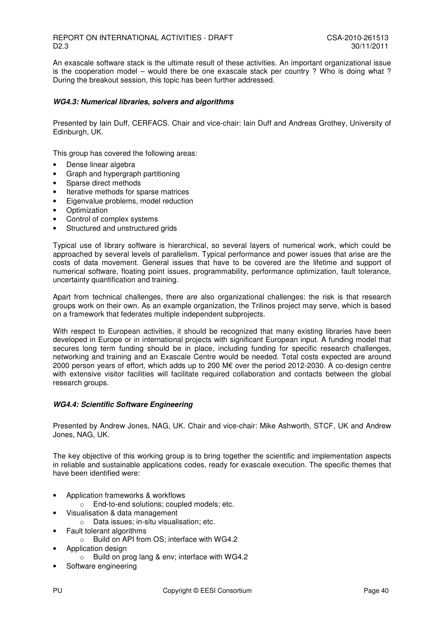An exascale software stack is the ultimate result of these activities. An important organizational issue is the cooperation model – would there be one exascale stack per country ? Who is doing what ? During the breakout session, this topic has been further addressed.

#### **WG4.3: Numerical libraries, solvers and algorithms**

Presented by Iain Duff, CERFACS. Chair and vice-chair: Iain Duff and Andreas Grothey, University of Edinburgh, UK.

This group has covered the following areas:

- Dense linear algebra
- Graph and hypergraph partitioning
- Sparse direct methods
- Iterative methods for sparse matrices
- Eigenvalue problems, model reduction
- Optimization
- Control of complex systems
- Structured and unstructured grids

Typical use of library software is hierarchical, so several layers of numerical work, which could be approached by several levels of parallelism. Typical performance and power issues that arise are the costs of data movement. General issues that have to be covered are the lifetime and support of numerical software, floating point issues, programmability, performance optimization, fault tolerance, uncertainty quantification and training.

Apart from technical challenges, there are also organizational challenges: the risk is that research groups work on their own. As an example organization, the Trilinos project may serve, which is based on a framework that federates multiple independent subprojects.

With respect to European activities, it should be recognized that many existing libraries have been developed in Europe or in international projects with significant European input. A funding model that secures long term funding should be in place, including funding for specific research challenges, networking and training and an Exascale Centre would be needed. Total costs expected are around 2000 person years of effort, which adds up to 200 M€ over the period 2012-2030. A co-design centre with extensive visitor facilities will facilitate required collaboration and contacts between the global research groups.

#### **WG4.4: Scientific Software Engineering**

Presented by Andrew Jones, NAG, UK. Chair and vice-chair: Mike Ashworth, STCF, UK and Andrew Jones, NAG, UK.

The key objective of this working group is to bring together the scientific and implementation aspects in reliable and sustainable applications codes, ready for exascale execution. The specific themes that have been identified were:

- Application frameworks & workflows
	- o End-to-end solutions; coupled models; etc.
- Visualisation & data management
	- o Data issues; in-situ visualisation; etc.
- Fault tolerant algorithms
	- o Build on API from OS; interface with WG4.2
- Application design
	- o Build on prog lang & env; interface with WG4.2
- Software engineering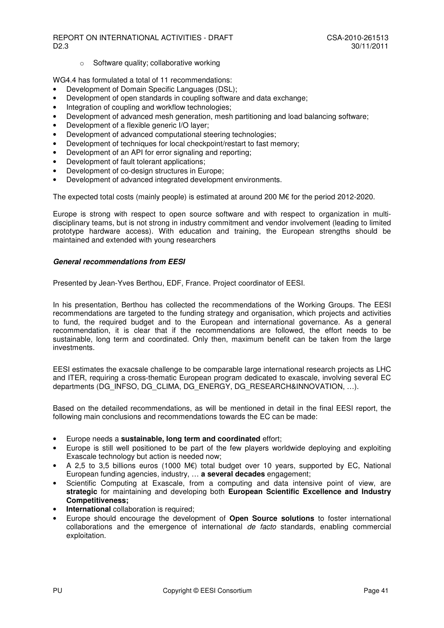o Software quality; collaborative working

WG4.4 has formulated a total of 11 recommendations:

- Development of Domain Specific Languages (DSL);
- Development of open standards in coupling software and data exchange;
- Integration of coupling and workflow technologies;
- Development of advanced mesh generation, mesh partitioning and load balancing software;
- Development of a flexible generic I/O layer;
- Development of advanced computational steering technologies;
- Development of techniques for local checkpoint/restart to fast memory;
- Development of an API for error signaling and reporting;
- Development of fault tolerant applications;
- Development of co-design structures in Europe;
- Development of advanced integrated development environments.

The expected total costs (mainly people) is estimated at around 200 M€ for the period 2012-2020.

Europe is strong with respect to open source software and with respect to organization in multidisciplinary teams, but is not strong in industry commitment and vendor involvement (leading to limited prototype hardware access). With education and training, the European strengths should be maintained and extended with young researchers

#### **General recommendations from EESI**

Presented by Jean-Yves Berthou, EDF, France. Project coordinator of EESI.

In his presentation, Berthou has collected the recommendations of the Working Groups. The EESI recommendations are targeted to the funding strategy and organisation, which projects and activities to fund, the required budget and to the European and international governance. As a general recommendation, it is clear that if the recommendations are followed, the effort needs to be sustainable, long term and coordinated. Only then, maximum benefit can be taken from the large investments.

EESI estimates the exacsale challenge to be comparable large international research projects as LHC and ITER, requiring a cross-thematic European program dedicated to exascale, involving several EC departments (DG\_INFSO, DG\_CLIMA, DG\_ENERGY, DG\_RESEARCH&INNOVATION, …).

Based on the detailed recommendations, as will be mentioned in detail in the final EESI report, the following main conclusions and recommendations towards the EC can be made:

- Europe needs a **sustainable, long term and coordinated** effort;
- Europe is still well positioned to be part of the few players worldwide deploying and exploiting Exascale technology but action is needed now;
- A 2,5 to 3,5 billions euros (1000 M€) total budget over 10 years, supported by EC, National European funding agencies, industry, … **a several decades** engagement;
- Scientific Computing at Exascale, from a computing and data intensive point of view, are **strategic** for maintaining and developing both **European Scientific Excellence and Industry Competitiveness;**
- **International** collaboration is required;
- Europe should encourage the development of **Open Source solutions** to foster international collaborations and the emergence of international de facto standards, enabling commercial exploitation.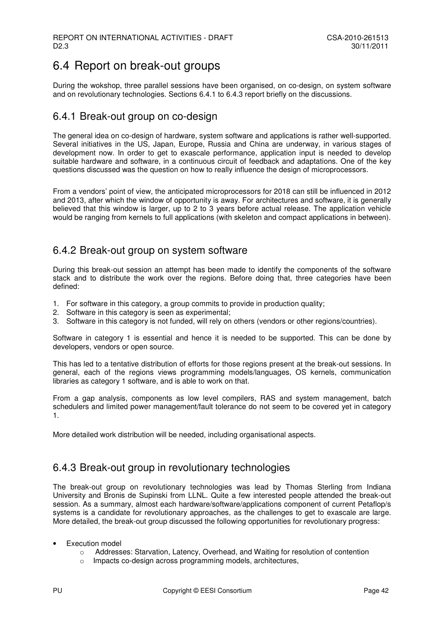## 6.4 Report on break-out groups

During the wokshop, three parallel sessions have been organised, on co-design, on system software and on revolutionary technologies. Sections 6.4.1 to 6.4.3 report briefly on the discussions.

#### 6.4.1 Break-out group on co-design

The general idea on co-design of hardware, system software and applications is rather well-supported. Several initiatives in the US, Japan, Europe, Russia and China are underway, in various stages of development now. In order to get to exascale performance, application input is needed to develop suitable hardware and software, in a continuous circuit of feedback and adaptations. One of the key questions discussed was the question on how to really influence the design of microprocessors.

From a vendors' point of view, the anticipated microprocessors for 2018 can still be influenced in 2012 and 2013, after which the window of opportunity is away. For architectures and software, it is generally believed that this window is larger, up to 2 to 3 years before actual release. The application vehicle would be ranging from kernels to full applications (with skeleton and compact applications in between).

#### 6.4.2 Break-out group on system software

During this break-out session an attempt has been made to identify the components of the software stack and to distribute the work over the regions. Before doing that, three categories have been defined:

- 1. For software in this category, a group commits to provide in production quality;
- 2. Software in this category is seen as experimental;
- 3. Software in this category is not funded, will rely on others (vendors or other regions/countries).

Software in category 1 is essential and hence it is needed to be supported. This can be done by developers, vendors or open source.

This has led to a tentative distribution of efforts for those regions present at the break-out sessions. In general, each of the regions views programming models/languages, OS kernels, communication libraries as category 1 software, and is able to work on that.

From a gap analysis, components as low level compilers, RAS and system management, batch schedulers and limited power management/fault tolerance do not seem to be covered yet in category 1.

More detailed work distribution will be needed, including organisational aspects.

#### 6.4.3 Break-out group in revolutionary technologies

The break-out group on revolutionary technologies was lead by Thomas Sterling from Indiana University and Bronis de Supinski from LLNL. Quite a few interested people attended the break-out session. As a summary, almost each hardware/software/applications component of current Petaflop/s systems is a candidate for revolutionary approaches, as the challenges to get to exascale are large. More detailed, the break-out group discussed the following opportunities for revolutionary progress:

- **Execution model** 
	- o Addresses: Starvation, Latency, Overhead, and Waiting for resolution of contention
	- Impacts co-design across programming models, architectures,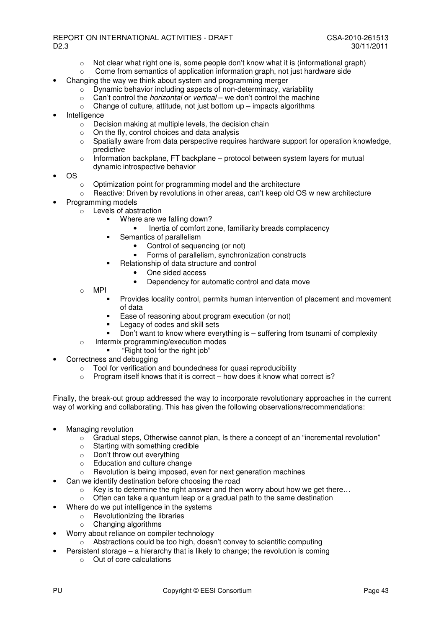- $\circ$  Not clear what right one is, some people don't know what it is (informational graph)
- $\circ$  Come from semantics of application information graph, not just hardware side
- Changing the way we think about system and programming merger
	- o Dynamic behavior including aspects of non-determinacy, variability
	- $\circ$  Can't control the *horizontal* or *vertical* we don't control the machine
	- $\circ$  Change of culture, attitude, not just bottom up impacts algorithms
- **Intelligence** 
	- $\circ$  Decision making at multiple levels, the decision chain
	- o On the fly, control choices and data analysis
	- o Spatially aware from data perspective requires hardware support for operation knowledge, predictive
	- $\circ$  Information backplane, FT backplane protocol between system layers for mutual dynamic introspective behavior
- OS
	- o Optimization point for programming model and the architecture
	- $\circ$  Reactive: Driven by revolutions in other areas, can't keep old OS w new architecture
- Programming models
	- $\circ$  Levels of abstraction
		- **Where are we falling down?** 
			- Inertia of comfort zone, familiarity breads complacency
		- Semantics of parallelism
			- Control of sequencing (or not)
			- Forms of parallelism, synchronization constructs
		- **Relationship of data structure and control** 
			- One sided access
			- Dependency for automatic control and data move
	- o MPI
		- Provides locality control, permits human intervention of placement and movement of data
		- Ease of reasoning about program execution (or not)
		- Legacy of codes and skill sets
		- Don't want to know where everything is suffering from tsunami of complexity
	- o Intermix programming/execution modes
		- "Right tool for the right job"
- Correctness and debugging
	- $\circ$  Tool for verification and boundedness for quasi reproducibility
	- $\circ$  Program itself knows that it is correct how does it know what correct is?

Finally, the break-out group addressed the way to incorporate revolutionary approaches in the current way of working and collaborating. This has given the following observations/recommendations:

- Managing revolution
	- $\circ$  Gradual steps, Otherwise cannot plan, Is there a concept of an "incremental revolution"
	- $\circ$  Starting with something credible
	- o Don't throw out everything
	- o Education and culture change
	- o Revolution is being imposed, even for next generation machines
	- Can we identify destination before choosing the road
		- $\circ$  Key is to determine the right answer and then worry about how we get there...
		- $\circ$  Often can take a quantum leap or a gradual path to the same destination
	- Where do we put intelligence in the systems
		- o Revolutionizing the libraries
		- o Changing algorithms
- Worry about reliance on compiler technology
	- o Abstractions could be too high, doesn't convey to scientific computing
- Persistent storage a hierarchy that is likely to change; the revolution is coming
	- o Out of core calculations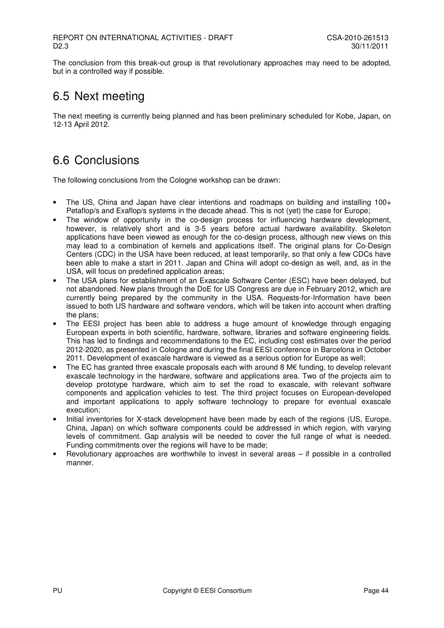The conclusion from this break-out group is that revolutionary approaches may need to be adopted, but in a controlled way if possible.

## 6.5 Next meeting

The next meeting is currently being planned and has been preliminary scheduled for Kobe, Japan, on 12-13 April 2012.

## 6.6 Conclusions

The following conclusions from the Cologne workshop can be drawn:

- The US, China and Japan have clear intentions and roadmaps on building and installing 100+ Petaflop/s and Exaflop/s systems in the decade ahead. This is not (yet) the case for Europe;
- The window of opportunity in the co-design process for influencing hardware development, however, is relatively short and is 3-5 years before actual hardware availability. Skeleton applications have been viewed as enough for the co-design process, although new views on this may lead to a combination of kernels and applications itself. The original plans for Co-Design Centers (CDC) in the USA have been reduced, at least temporarily, so that only a few CDCs have been able to make a start in 2011. Japan and China will adopt co-design as well, and, as in the USA, will focus on predefined application areas;
- The USA plans for establishment of an Exascale Software Center (ESC) have been delayed, but not abandoned. New plans through the DoE for US Congress are due in February 2012, which are currently being prepared by the community in the USA. Requests-for-Information have been issued to both US hardware and software vendors, which will be taken into account when drafting the plans;
- The EESI project has been able to address a huge amount of knowledge through engaging European experts in both scientific, hardware, software, libraries and software engineering fields. This has led to findings and recommendations to the EC, including cost estimates over the period 2012-2020, as presented in Cologne and during the final EESI conference in Barcelona in October 2011. Development of exascale hardware is viewed as a serious option for Europe as well;
- The EC has granted three exascale proposals each with around 8  $M\epsilon$  funding, to develop relevant exascale technology in the hardware, software and applications area. Two of the projects aim to develop prototype hardware, which aim to set the road to exascale, with relevant software components and application vehicles to test. The third project focuses on European-developed and important applications to apply software technology to prepare for eventual exascale execution;
- Initial inventories for X-stack development have been made by each of the regions (US, Europe, China, Japan) on which software components could be addressed in which region, with varying levels of commitment. Gap analysis will be needed to cover the full range of what is needed. Funding commitments over the regions will have to be made;
- Revolutionary approaches are worthwhile to invest in several areas if possible in a controlled manner.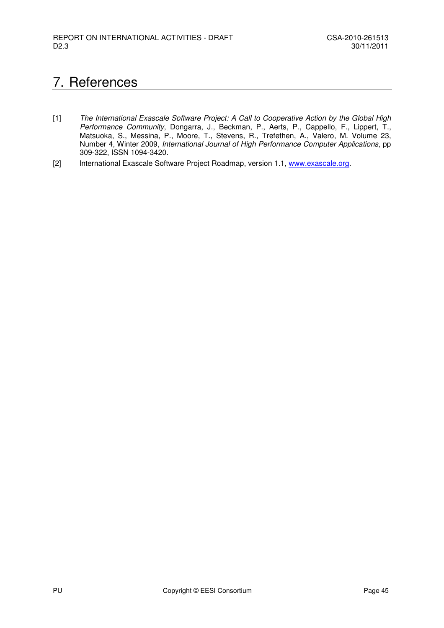## 7. References

- [1] The International Exascale Software Project: A Call to Cooperative Action by the Global High Performance Community, Dongarra, J., Beckman, P., Aerts, P., Cappello, F., Lippert, T., Matsuoka, S., Messina, P., Moore, T., Stevens, R., Trefethen, A., Valero, M. Volume 23, Number 4, Winter 2009, International Journal of High Performance Computer Applications, pp 309-322, ISSN 1094-3420.
- [2] International Exascale Software Project Roadmap, version 1.1, www.exascale.org.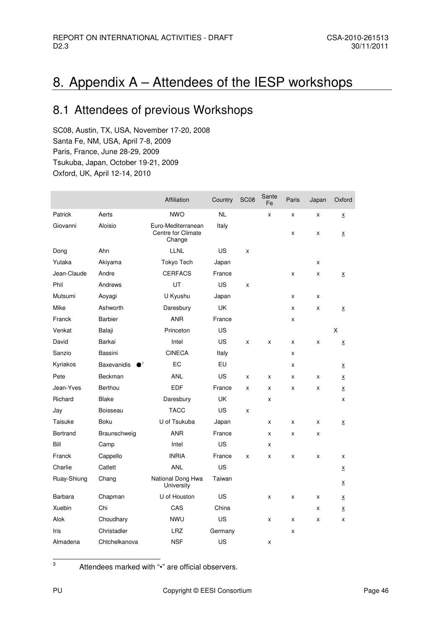## 8. Appendix A – Attendees of the IESP workshops

## 8.1 Attendees of previous Workshops

SC08, Austin, TX, USA, November 17-20, 2008 Santa Fe, NM, USA, April 7-8, 2009 Paris, France, June 28-29, 2009 Tsukuba, Japan, October 19-21, 2009 Oxford, UK, April 12-14, 2010

|             |                                   | Affiliation                                        | Country   | SC <sub>08</sub> | Sante<br>Fe | Paris | Japan | Oxford                   |
|-------------|-----------------------------------|----------------------------------------------------|-----------|------------------|-------------|-------|-------|--------------------------|
| Patrick     | Aerts                             | <b>NWO</b>                                         | <b>NL</b> |                  | x           | x     | X     | <u>x</u>                 |
| Giovanni    | Aloisio                           | Euro-Mediterranean<br>Centre for Climate<br>Change | Italy     |                  |             | x     | X     | $\underline{\mathsf{x}}$ |
| Dong        | Ahn                               | <b>LLNL</b>                                        | US        | X                |             |       |       |                          |
| Yutaka      | Akiyama                           | Tokyo Tech                                         | Japan     |                  |             |       | x     |                          |
| Jean-Claude | Andre                             | <b>CERFACS</b>                                     | France    |                  |             | x     | x     | X                        |
| Phil        | Andrews                           | UT                                                 | <b>US</b> | X                |             |       |       |                          |
| Mutsumi     | Aoyagi                            | U Kyushu                                           | Japan     |                  |             | x     | x     |                          |
| Mike        | Ashworth                          | Daresbury                                          | UK        |                  |             | x     | x     | $\underline{\mathsf{X}}$ |
| Franck      | <b>Barbier</b>                    | <b>ANR</b>                                         | France    |                  |             | x     |       |                          |
| Venkat      | Balaji                            | Princeton                                          | US        |                  |             |       |       | X                        |
| David       | Barkai                            | Intel                                              | <b>US</b> | X                | x           | x     | x     | X                        |
| Sanzio      | Bassini                           | <b>CINECA</b>                                      | Italy     |                  |             | x     |       |                          |
| Kyriakos    | $\bullet^3$<br><b>Baxevanidis</b> | EC                                                 | EU        |                  |             | x     |       | X                        |
| Pete        | Beckman                           | <b>ANL</b>                                         | US        | x                | x           | x     | x     | $\underline{\mathsf{X}}$ |
| Jean-Yves   | Berthou                           | <b>EDF</b>                                         | France    | X                | X           | X     | X     | $\underline{\mathsf{X}}$ |
| Richard     | <b>Blake</b>                      | Daresbury                                          | UK        |                  | x           |       |       | x                        |
| Jay         | Boisseau                          | <b>TACC</b>                                        | <b>US</b> | X                |             |       |       |                          |
| Taisuke     | <b>Boku</b>                       | U of Tsukuba                                       | Japan     |                  | x           | x     | x     | $\underline{\mathsf{X}}$ |
| Bertrand    | Braunschweig                      | <b>ANR</b>                                         | France    |                  | x           | x     | x     |                          |
| Bill        | Camp                              | Intel                                              | US        |                  | x           |       |       |                          |
| Franck      | Cappello                          | <b>INRIA</b>                                       | France    | x                | X           | x     | x     | x                        |
| Charlie     | Catlett                           | <b>ANL</b>                                         | US        |                  |             |       |       | X                        |
| Ruay-Shiung | Chang                             | National Dong Hwa<br>University                    | Taiwan    |                  |             |       |       | X                        |
| Barbara     | Chapman                           | U of Houston                                       | US        |                  | x           | X     | x     | X                        |
| Xuebin      | Chi                               | CAS                                                | China     |                  |             |       | x     | $\underline{\mathsf{X}}$ |
| Alok        | Choudhary                         | <b>NWU</b>                                         | US        |                  | X           | X     | X     | X                        |
| Iris        | Christadler                       | <b>LRZ</b>                                         | Germany   |                  |             | x     |       |                          |
| Almadena    | Chtchelkanova                     | <b>NSF</b>                                         | US        |                  | x           |       |       |                          |

Attendees marked with "•" are official observers.

3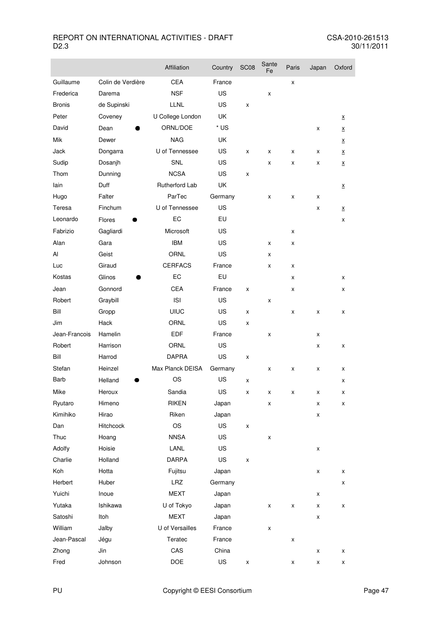m.

|               |                   | Affiliation             | Country | <b>SC08</b> | Sante<br>Fe | Paris | Japan | Oxford                   |
|---------------|-------------------|-------------------------|---------|-------------|-------------|-------|-------|--------------------------|
| Guillaume     | Colin de Verdière | <b>CEA</b>              | France  |             |             | x     |       |                          |
| Frederica     | Darema            | <b>NSF</b>              | US      |             | x           |       |       |                          |
| <b>Bronis</b> | de Supinski       | <b>LLNL</b>             | US      | x           |             |       |       |                          |
| Peter         | Coveney           | U College London        | UK      |             |             |       |       | X                        |
| David         | Dean              | ORNL/DOE                | * US    |             |             |       | x     | $\underline{\mathsf{X}}$ |
| Mik           | Dewer             | <b>NAG</b>              | UK      |             |             |       |       | X                        |
| Jack          | Dongarra          | U of Tennessee          | US      | x           | x           | x     | x     | $\underline{\mathsf{X}}$ |
| Sudip         | Dosanjh           | <b>SNL</b>              | US      |             | x           | x     | x     | $\underline{\mathsf{X}}$ |
| Thom          | Dunning           | <b>NCSA</b>             | US      | x           |             |       |       |                          |
| lain          | Duff              | Rutherford Lab          | UK      |             |             |       |       | $\underline{\mathsf{X}}$ |
| Hugo          | Falter            | ParTec                  | Germany |             | x           | х     | x     |                          |
| Teresa        | Finchum           | U of Tennessee          | US      |             |             |       | х     | x                        |
| Leonardo      | Flores            | EC                      | EU      |             |             |       |       | x                        |
| Fabrizio      | Gagliardi         | Microsoft               | US      |             |             | x     |       |                          |
| Alan          | Gara              | <b>IBM</b>              | US      |             | X           | x     |       |                          |
| Al            | Geist             | <b>ORNL</b>             | US      |             | x           |       |       |                          |
| Luc           | Giraud            | <b>CERFACS</b>          | France  |             | x           | x     |       |                          |
| Kostas        | Glinos            | EC                      | EU      |             |             | x     |       | x                        |
| Jean          | Gonnord           | <b>CEA</b>              | France  | x           |             | x     |       | x                        |
| Robert        | Graybill          | <b>ISI</b>              | US      |             | x           |       |       |                          |
| Bill          | Gropp             | <b>UIUC</b>             | US      | x           |             | x     | X     | x                        |
| Jim           | Hack              | <b>ORNL</b>             | US      | x           |             |       |       |                          |
| Jean-Francois | Hamelin           | <b>EDF</b>              | France  |             | X           |       | X     |                          |
| Robert        | Harrison          | <b>ORNL</b>             | US      |             |             |       | X     | x                        |
| Bill          | Harrod            | <b>DAPRA</b>            | US      | x           |             |       |       |                          |
| Stefan        | Heinzel           | <b>Max Planck DEISA</b> | Germany |             | X           | x     | x     | x                        |
| Barb          | Helland           | OS                      | US      | x           |             |       |       | x                        |
| Mike          | Heroux            | Sandia                  | US      | x           | x           | x     | x     | x                        |
| Ryutaro       | Himeno            | <b>RIKEN</b>            | Japan   |             | x           |       | X     | X                        |
| Kimihiko      | Hirao             | Riken                   | Japan   |             |             |       | x     |                          |
| Dan           | Hitchcock         | OS                      | US      | x           |             |       |       |                          |
| Thuc          | Hoang             | <b>NNSA</b>             | US      |             | X           |       |       |                          |
| Adolfy        | Hoisie            | LANL                    | US      |             |             |       | x     |                          |
| Charlie       | Holland           | DARPA                   | US      | x           |             |       |       |                          |
| Koh           | Hotta             | Fujitsu                 | Japan   |             |             |       | x     | X                        |
| Herbert       | Huber             | LRZ                     | Germany |             |             |       |       | Χ                        |
| Yuichi        | Inoue             | <b>MEXT</b>             | Japan   |             |             |       | x     |                          |
| Yutaka        | Ishikawa          | U of Tokyo              | Japan   |             | x           | x     | x     | X                        |
| Satoshi       | Itoh              | <b>MEXT</b>             | Japan   |             |             |       | x     |                          |
| William       | Jalby             | U of Versailles         | France  |             | x           |       |       |                          |
| Jean-Pascal   | Jégu              | Teratec                 | France  |             |             | x     |       |                          |
| Zhong         | Jin               | CAS                     | China   |             |             |       | x     | X                        |
| Fred          | Johnson           | DOE                     | US      | x           |             | x     | x     | x                        |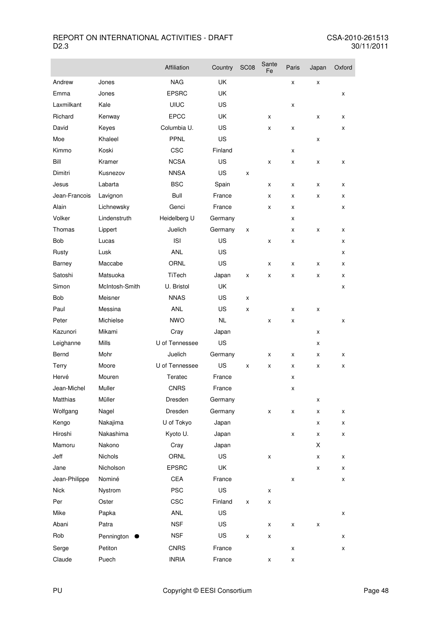|               |                | Affiliation    | Country   | <b>SC08</b> | Sante<br>Fe | Paris | Japan | Oxford |
|---------------|----------------|----------------|-----------|-------------|-------------|-------|-------|--------|
| Andrew        | Jones          | <b>NAG</b>     | UK        |             |             | X     | X     |        |
| Emma          | Jones          | <b>EPSRC</b>   | UK        |             |             |       |       | x      |
| Laxmilkant    | Kale           | <b>UIUC</b>    | US        |             |             | X     |       |        |
| Richard       | Kenway         | <b>EPCC</b>    | UK        |             | X           |       | X     | X      |
| David         | Keyes          | Columbia U.    | US        |             | X           | X     |       | x      |
| Moe           | Khaleel        | PPNL           | US        |             |             |       | x     |        |
| Kimmo         | Koski          | CSC            | Finland   |             |             | x     |       |        |
| Bill          | Kramer         | <b>NCSA</b>    | US        |             | x           | x     | X     | x      |
| Dimitri       | Kusnezov       | <b>NNSA</b>    | US        | x           |             |       |       |        |
| Jesus         | Labarta        | <b>BSC</b>     | Spain     |             | x           | x     | x     | x      |
| Jean-Francois | Lavignon       | Bull           | France    |             | x           | x     | X     | x      |
| Alain         | Lichnewsky     | Genci          | France    |             | X           | X     |       | x      |
| Volker        | Lindenstruth   | Heidelberg U   | Germany   |             |             | x     |       |        |
| Thomas        | Lippert        | Juelich        | Germany   | x           |             | x     | X     | x      |
| <b>Bob</b>    | Lucas          | <b>ISI</b>     | US        |             | x           | x     |       | x      |
| Rusty         | Lusk           | <b>ANL</b>     | US        |             |             |       |       | x      |
| Barney        | Maccabe        | <b>ORNL</b>    | US        |             | x           | x     | x     | x      |
| Satoshi       | Matsuoka       | TiTech         | Japan     | x           | X           | X     | X     | x      |
| Simon         | McIntosh-Smith | U. Bristol     | UK        |             |             |       |       | X      |
| Bob           | Meisner        | <b>NNAS</b>    | US        | x           |             |       |       |        |
| Paul          | Messina        | <b>ANL</b>     | US        | x           |             | x     | x     |        |
| Peter         | Michielse      | <b>NWO</b>     | <b>NL</b> |             | x           | x     |       | x      |
| Kazunori      | Mikami         | Cray           | Japan     |             |             |       | X     |        |
| Leighanne     | <b>Mills</b>   | U of Tennessee | US        |             |             |       | x     |        |
| Bernd         | Mohr           | Juelich        | Germany   |             | x           | x     | x     | x      |
| Terry         | Moore          | U of Tennessee | US        | x           | X           | x     | X     | X      |
| Hervé         | Mouren         | Teratec        | France    |             |             | x     |       |        |
| Jean-Michel   | Muller         | <b>CNRS</b>    | France    |             |             | X     |       |        |
| Matthias      | Müller         | Dresden        | Germany   |             |             |       | x     |        |
| Wolfgang      | Nagel          | Dresden        | Germany   |             | X           | Χ     | Χ     | x      |
| Kengo         | Nakajima       | U of Tokyo     | Japan     |             |             |       | x     | x      |
| Hiroshi       | Nakashima      | Kyoto U.       | Japan     |             |             | X     | x     | x      |
| Mamoru        | Nakono         | Cray           | Japan     |             |             |       | X     |        |
| Jeff          | Nichols        | ORNL           | US        |             | X           |       | x     | x      |
| Jane          | Nicholson      | <b>EPSRC</b>   | UK        |             |             |       | x     | x      |
| Jean-Philippe | Nominé         | CEA            | France    |             |             | x     |       | x      |
| <b>Nick</b>   | Nystrom        | <b>PSC</b>     | US        |             | x           |       |       |        |
| Per           | Oster          | CSC            | Finland   | x           | x           |       |       |        |
| Mike          | Papka          | ANL            | US        |             |             |       |       | x      |
| Abani         | Patra          | <b>NSF</b>     | US        |             | X           | X     | Χ     |        |
| Rob           | Pennington     | <b>NSF</b>     | US        | x           | Χ           |       |       | x      |
| Serge         | Petiton        | <b>CNRS</b>    | France    |             |             | x     |       | x      |
| Claude        | Puech          | <b>INRIA</b>   | France    |             | x           | x     |       |        |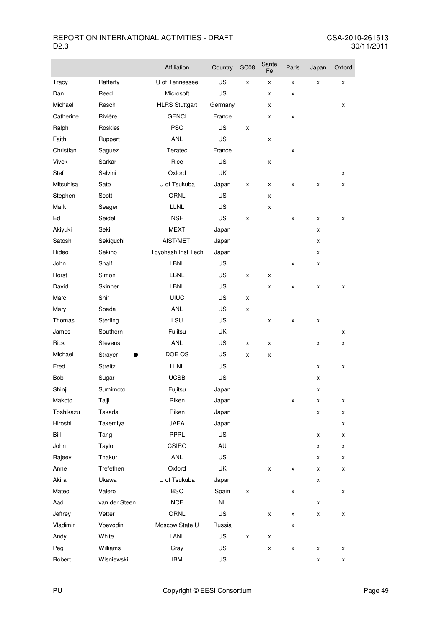|           |               | Affiliation           | Country   | <b>SC08</b> | Sante<br>Fe | Paris | Japan | Oxford |
|-----------|---------------|-----------------------|-----------|-------------|-------------|-------|-------|--------|
| Tracy     | Rafferty      | U of Tennessee        | US        | X           | x           | х     | X     | X      |
| Dan       | Reed          | Microsoft             | US        |             | X           | x     |       |        |
| Michael   | Resch         | <b>HLRS Stuttgart</b> | Germany   |             | X           |       |       | X      |
| Catherine | Rivière       | <b>GENCI</b>          | France    |             | x           | x     |       |        |
| Ralph     | Roskies       | <b>PSC</b>            | US        | x           |             |       |       |        |
| Faith     | Ruppert       | <b>ANL</b>            | US        |             | x           |       |       |        |
| Christian | Saguez        | Teratec               | France    |             |             | x     |       |        |
| Vivek     | Sarkar        | Rice                  | US        |             | x           |       |       |        |
| Stef      | Salvini       | Oxford                | UK        |             |             |       |       | x      |
| Mitsuhisa | Sato          | U of Tsukuba          | Japan     | X           | X           | x     | x     | X      |
| Stephen   | Scott         | ORNL                  | US        |             | x           |       |       |        |
| Mark      | Seager        | <b>LLNL</b>           | US        |             | x           |       |       |        |
| Ed        | Seidel        | <b>NSF</b>            | <b>US</b> | x           |             | x     | x     | X      |
| Akiyuki   | Seki          | <b>MEXT</b>           | Japan     |             |             |       | x     |        |
| Satoshi   | Sekiguchi     | AIST/METI             | Japan     |             |             |       | x     |        |
| Hideo     | Sekino        | Toyohash Inst Tech    | Japan     |             |             |       | x     |        |
| John      | Shalf         | LBNL                  | US        |             |             | x     | x     |        |
| Horst     | Simon         | <b>LBNL</b>           | US        | X           | X           |       |       |        |
| David     | Skinner       | <b>LBNL</b>           | US        |             | x           | x     | x     | X      |
| Marc      | Snir          | <b>UIUC</b>           | US        | x           |             |       |       |        |
| Mary      | Spada         | <b>ANL</b>            | US        | x           |             |       |       |        |
| Thomas    | Sterling      | LSU                   | US        |             | x           | x     | X     |        |
| James     | Southern      | Fujitsu               | UK        |             |             |       |       | x      |
| Rick      | Stevens       | <b>ANL</b>            | US        | X           | x           |       | x     | X      |
| Michael   | Strayer       | DOE OS                | US        | x           | X           |       |       |        |
| Fred      | Streitz       | <b>LLNL</b>           | US        |             |             |       | x     | X      |
| Bob       | Sugar         | <b>UCSB</b>           | US        |             |             |       | x     |        |
| Shinji    | Sumimoto      | Fujitsu               | Japan     |             |             |       | x     |        |
| Makoto    | Taiji         | Riken                 | Japan     |             |             | x     | x     | X      |
| Toshikazu | Takada        | Riken                 | Japan     |             |             |       | Χ     | X      |
| Hiroshi   | Takemiya      | JAEA                  | Japan     |             |             |       |       | X      |
| Bill      | Tang          | PPPL                  | US        |             |             |       | X     | x      |
| John      | Taylor        | <b>CSIRO</b>          | AU        |             |             |       | X     | X      |
| Rajeev    | Thakur        | ANL                   | US        |             |             |       | x     | X      |
| Anne      | Trefethen     | Oxford                | UK        |             | X           | x     | X     | Χ      |
| Akira     | Ukawa         | U of Tsukuba          | Japan     |             |             |       | x     |        |
| Mateo     | Valero        | <b>BSC</b>            | Spain     | X           |             | Χ     |       | X      |
| Aad       | van der Steen | <b>NCF</b>            | NL        |             |             |       | X     |        |
| Jeffrey   | Vetter        | ORNL                  | US        |             | X           | x     | X     | X      |
| Vladimir  | Voevodin      | Moscow State U        | Russia    |             |             | x     |       |        |
| Andy      | White         | LANL                  | US        | x           | X           |       |       |        |
| Peg       | Williams      | Cray                  | US        |             | X           | x     | X     | Χ      |
| Robert    | Wisniewski    | <b>IBM</b>            | US        |             |             |       | x     | X      |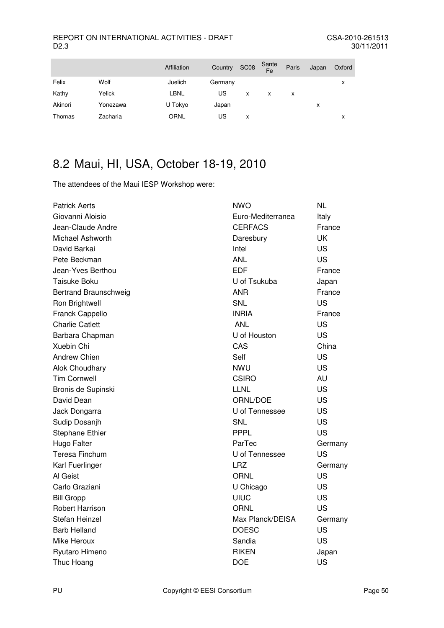|          | Affiliation | Country |   | Sante<br>Fe      | Paris | Japan | Oxford |
|----------|-------------|---------|---|------------------|-------|-------|--------|
| Wolf     | Juelich     | Germany |   |                  |       |       | x      |
| Yelick   | LBNL        | US      | x | x                | X     |       |        |
| Yonezawa | U Tokyo     | Japan   |   |                  |       | x     |        |
| Zacharia | <b>ORNL</b> | US      | x |                  |       |       | x      |
|          |             |         |   | SC <sub>08</sub> |       |       |        |

## 8.2 Maui, HI, USA, October 18-19, 2010

The attendees of the Maui IESP Workshop were:

| <b>Patrick Aerts</b>   | NWO               | <b>NL</b> |
|------------------------|-------------------|-----------|
| Giovanni Aloisio       | Euro-Mediterranea | Italy     |
| Jean-Claude Andre      | <b>CERFACS</b>    | France    |
| Michael Ashworth       | Daresbury         | UK        |
| David Barkai           | Intel             | US        |
| Pete Beckman           | <b>ANL</b>        | <b>US</b> |
| Jean-Yves Berthou      | <b>EDF</b>        | France    |
| <b>Taisuke Boku</b>    | U of Tsukuba      | Japan     |
| Bertrand Braunschweig  | <b>ANR</b>        | France    |
| Ron Brightwell         | SNL               | <b>US</b> |
| Franck Cappello        | <b>INRIA</b>      | France    |
| <b>Charlie Catlett</b> | <b>ANL</b>        | US        |
| Barbara Chapman        | U of Houston      | US        |
| Xuebin Chi             | CAS               | China     |
| <b>Andrew Chien</b>    | Self              | <b>US</b> |
| Alok Choudhary         | <b>NWU</b>        | <b>US</b> |
| <b>Tim Cornwell</b>    | <b>CSIRO</b>      | AU        |
| Bronis de Supinski     | <b>LLNL</b>       | <b>US</b> |
| David Dean             | ORNL/DOE          | US        |
| Jack Dongarra          | U of Tennessee    | US        |
| Sudip Dosanjh          | SNL               | US        |
| <b>Stephane Ethier</b> | PPPL              | US        |
| Hugo Falter            | ParTec            | Germany   |
| <b>Teresa Finchum</b>  | U of Tennessee    | <b>US</b> |
| Karl Fuerlinger        | <b>LRZ</b>        | Germany   |
| Al Geist               | <b>ORNL</b>       | <b>US</b> |
| Carlo Graziani         | U Chicago         | US        |
| <b>Bill Gropp</b>      | <b>UIUC</b>       | <b>US</b> |
| Robert Harrison        | <b>ORNL</b>       | <b>US</b> |
| Stefan Heinzel         | Max Planck/DEISA  | Germany   |
| <b>Barb Helland</b>    | <b>DOESC</b>      | US        |
| Mike Heroux            | Sandia            | US        |
| Ryutaro Himeno         | <b>RIKEN</b>      | Japan     |
| Thuc Hoang             | <b>DOE</b>        | US        |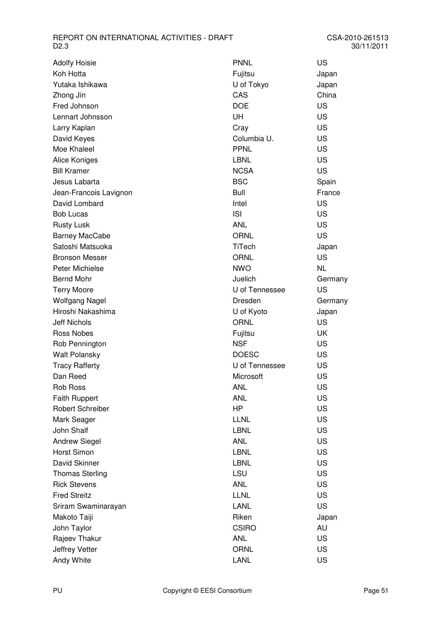| <b>Adolfy Hoisie</b>    |
|-------------------------|
| Koh Hotta               |
| Yutaka Ishikawa         |
| Zhong Jin               |
| Fred Johnson            |
| Lennart Johnsson        |
| Larry Kaplan            |
| David Keyes             |
| Moe Khaleel             |
| Alice Koniges           |
| <b>Bill Kramer</b>      |
| Jesus Labarta           |
| Jean-Francois Lavignon  |
| David Lombard           |
| <b>Bob Lucas</b>        |
| <b>Rusty Lusk</b>       |
| <b>Barney MacCabe</b>   |
| Satoshi Matsuoka        |
| <b>Bronson Messer</b>   |
| Peter Michielse         |
| <b>Bernd Mohr</b>       |
| <b>Terry Moore</b>      |
| Wolfgang Nagel          |
| Hiroshi Nakashima       |
| <b>Jeff Nichols</b>     |
| Ross Nobes              |
| Rob Pennington          |
| <b>Walt Polansky</b>    |
| <b>Tracy Rafferty</b>   |
| Dan Reed                |
| <b>Rob Ross</b>         |
| <b>Faith Ruppert</b>    |
| <b>Robert Schreiber</b> |
| Mark Seager             |
| John Shalf              |
| <b>Andrew Siegel</b>    |
| Horst Simon             |
| David Skinner           |
| <b>Thomas Sterling</b>  |
| <b>Rick Stevens</b>     |
| <b>Fred Streitz</b>     |
| Sriram Swaminarayan     |
| Makoto Taiji            |
| John Taylor             |
| Rajeev Thakur           |
| Jeffrey Vetter          |
| Andy White              |

| Adolfy Hoisie           | <b>PNNL</b>    | US        |
|-------------------------|----------------|-----------|
| Koh Hotta               | Fujitsu        | Japan     |
| Yutaka Ishikawa         | U of Tokyo     | Japan     |
| Zhong Jin               | CAS            | China     |
| Fred Johnson            | <b>DOE</b>     | US        |
| Lennart Johnsson        | UH             | <b>US</b> |
| Larry Kaplan            | Cray           | <b>US</b> |
| David Keyes             | Columbia U.    | US        |
| Moe Khaleel             | <b>PPNL</b>    | <b>US</b> |
| Alice Koniges           | <b>LBNL</b>    | <b>US</b> |
| <b>Bill Kramer</b>      | <b>NCSA</b>    | <b>US</b> |
| Jesus Labarta           | <b>BSC</b>     | Spain     |
| Jean-Francois Lavignon  | <b>Bull</b>    | France    |
| David Lombard           | Intel          | US        |
| <b>Bob Lucas</b>        | <b>ISI</b>     | US        |
| <b>Rusty Lusk</b>       | <b>ANL</b>     | <b>US</b> |
| Barney MacCabe          | <b>ORNL</b>    | <b>US</b> |
| Satoshi Matsuoka        | TiTech         | Japan     |
| Bronson Messer          | <b>ORNL</b>    | US        |
| Peter Michielse         | <b>NWO</b>     | <b>NL</b> |
| <b>Bernd Mohr</b>       | Juelich        | Germany   |
| <b>Terry Moore</b>      | U of Tennessee | <b>US</b> |
| Wolfgang Nagel          | Dresden        | Germany   |
| Hiroshi Nakashima       | U of Kyoto     | Japan     |
| <b>Jeff Nichols</b>     | <b>ORNL</b>    | <b>US</b> |
| <b>Ross Nobes</b>       | Fujitsu        | UK        |
| Rob Pennington          | <b>NSF</b>     | US        |
| Walt Polansky           | <b>DOESC</b>   | US        |
| <b>Tracy Rafferty</b>   | U of Tennessee | US        |
| Dan Reed                | Microsoft      | US        |
| <b>Rob Ross</b>         | <b>ANL</b>     | US        |
| <b>Faith Ruppert</b>    | <b>ANL</b>     | US        |
| <b>Robert Schreiber</b> | HP             | <b>US</b> |
| Mark Seager             | <b>LLNL</b>    | <b>US</b> |
| John Shalf              | <b>LBNL</b>    | <b>US</b> |
| <b>Andrew Siegel</b>    | <b>ANL</b>     | <b>US</b> |
| Horst Simon             | <b>LBNL</b>    | <b>US</b> |
| David Skinner           | <b>LBNL</b>    | <b>US</b> |
| <b>Thomas Sterling</b>  | <b>LSU</b>     | <b>US</b> |
| <b>Rick Stevens</b>     | <b>ANL</b>     | <b>US</b> |
| <b>Fred Streitz</b>     | <b>LLNL</b>    | <b>US</b> |
| Sriram Swaminarayan     | <b>LANL</b>    | <b>US</b> |
| Makoto Taiji            | Riken          | Japan     |
| John Taylor             | <b>CSIRO</b>   | AU        |
| Rajeev Thakur           | <b>ANL</b>     | <b>US</b> |
| Jeffrey Vetter          | <b>ORNL</b>    | US        |
| Andy White              | LANL           | <b>US</b> |
|                         |                |           |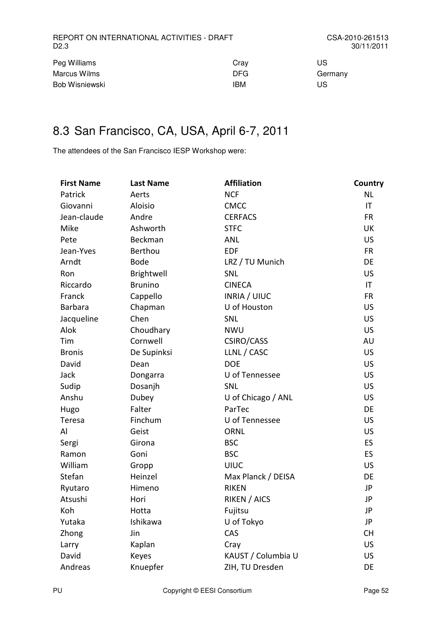| Peg Williams   | Cray       | US      |
|----------------|------------|---------|
| Marcus Wilms   | <b>DFG</b> | Germany |
| Bob Wisniewski | IBM        | US      |

## 8.3 San Francisco, CA, USA, April 6-7, 2011

The attendees of the San Francisco IESP Workshop were:

| <b>First Name</b> | <b>Last Name</b> | <b>Affiliation</b>  | Country   |
|-------------------|------------------|---------------------|-----------|
| Patrick           | Aerts            | <b>NCF</b>          | <b>NL</b> |
| Giovanni          | Aloisio          | <b>CMCC</b>         | IT        |
| Jean-claude       | Andre            | <b>CERFACS</b>      | <b>FR</b> |
| Mike              | Ashworth         | <b>STFC</b>         | UK        |
| Pete              | Beckman          | <b>ANL</b>          | <b>US</b> |
| Jean-Yves         | Berthou          | <b>EDF</b>          | <b>FR</b> |
| Arndt             | <b>Bode</b>      | LRZ / TU Munich     | DE        |
| Ron               | Brightwell       | SNL                 | US        |
| Riccardo          | <b>Brunino</b>   | <b>CINECA</b>       | IT        |
| Franck            | Cappello         | <b>INRIA / UIUC</b> | <b>FR</b> |
| <b>Barbara</b>    | Chapman          | U of Houston        | <b>US</b> |
| Jacqueline        | Chen             | SNL                 | <b>US</b> |
| Alok              | Choudhary        | <b>NWU</b>          | <b>US</b> |
| Tim               | Cornwell         | CSIRO/CASS          | AU        |
| <b>Bronis</b>     | De Supinksi      | LLNL / CASC         | <b>US</b> |
| David             | Dean             | <b>DOE</b>          | <b>US</b> |
| Jack              | Dongarra         | U of Tennessee      | <b>US</b> |
| Sudip             | Dosanjh          | SNL                 | <b>US</b> |
| Anshu             | Dubey            | U of Chicago / ANL  | <b>US</b> |
| Hugo              | Falter           | ParTec              | DE        |
| Teresa            | Finchum          | U of Tennessee      | <b>US</b> |
| Al                | Geist            | <b>ORNL</b>         | <b>US</b> |
| Sergi             | Girona           | <b>BSC</b>          | ES        |
| Ramon             | Goni             | <b>BSC</b>          | <b>ES</b> |
| William           | Gropp            | <b>UIUC</b>         | US        |
| Stefan            | Heinzel          | Max Planck / DEISA  | DE        |
| Ryutaro           | Himeno           | <b>RIKEN</b>        | JP        |
| Atsushi           | Hori             | <b>RIKEN / AICS</b> | JP        |
| Koh               | Hotta            | Fujitsu             | JP        |
| Yutaka            | Ishikawa         | U of Tokyo          | JP        |
| Zhong             | Jin              | CAS                 | <b>CH</b> |
| Larry             | Kaplan           | Cray                | <b>US</b> |
| David             | Keyes            | KAUST / Columbia U  | <b>US</b> |
| Andreas           | Knuepfer         | ZIH, TU Dresden     | DE        |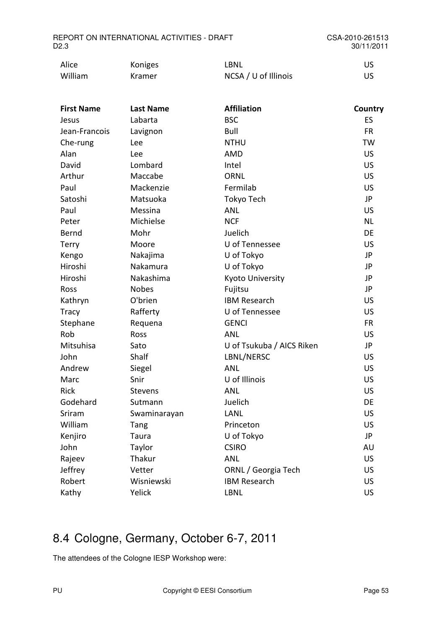| Alice   | Koniges | LBNL                 |  |
|---------|---------|----------------------|--|
| William | Kramer  | NCSA / U of Illinois |  |

| <b>First Name</b> | <b>Last Name</b> | <b>Affiliation</b>        | Country   |
|-------------------|------------------|---------------------------|-----------|
| Jesus             | Labarta          | <b>BSC</b>                | ES        |
| Jean-Francois     | Lavignon         | Bull                      | <b>FR</b> |
| Che-rung          | Lee              | <b>NTHU</b>               | <b>TW</b> |
| Alan              | Lee              | <b>AMD</b>                | <b>US</b> |
| David             | Lombard          | Intel                     | <b>US</b> |
| Arthur            | Maccabe          | <b>ORNL</b>               | <b>US</b> |
| Paul              | Mackenzie        | Fermilab                  | <b>US</b> |
| Satoshi           | Matsuoka         | Tokyo Tech                | JP        |
| Paul              | Messina          | <b>ANL</b>                | <b>US</b> |
| Peter             | Michielse        | <b>NCF</b>                | <b>NL</b> |
| Bernd             | Mohr             | Juelich                   | DE        |
| Terry             | Moore            | U of Tennessee            | <b>US</b> |
| Kengo             | Nakajima         | U of Tokyo                | JP        |
| Hiroshi           | Nakamura         | U of Tokyo                | JP        |
| Hiroshi           | Nakashima        | Kyoto University          | JP        |
| Ross              | <b>Nobes</b>     | Fujitsu                   | JP        |
| Kathryn           | O'brien          | <b>IBM Research</b>       | <b>US</b> |
| <b>Tracy</b>      | Rafferty         | U of Tennessee            | US        |
| Stephane          | Requena          | <b>GENCI</b>              | <b>FR</b> |
| Rob               | Ross             | <b>ANL</b>                | US        |
| Mitsuhisa         | Sato             | U of Tsukuba / AICS Riken | JP        |
| John              | Shalf            | LBNL/NERSC                | US        |
| Andrew            | Siegel           | <b>ANL</b>                | <b>US</b> |
| Marc              | Snir             | U of Illinois             | US        |
| <b>Rick</b>       | <b>Stevens</b>   | <b>ANL</b>                | <b>US</b> |
| Godehard          | Sutmann          | Juelich                   | DE        |
| Sriram            | Swaminarayan     | LANL                      | <b>US</b> |
| William           | Tang             | Princeton                 | US        |
| Kenjiro           | Taura            | U of Tokyo                | JP        |
| John              | Taylor           | <b>CSIRO</b>              | AU        |
| Rajeev            | Thakur           | <b>ANL</b>                | US        |
| Jeffrey           | Vetter           | ORNL / Georgia Tech       | <b>US</b> |
| Robert            | Wisniewski       | <b>IBM Research</b>       | <b>US</b> |
| Kathy             | Yelick           | <b>LBNL</b>               | <b>US</b> |

## 8.4 Cologne, Germany, October 6-7, 2011

The attendees of the Cologne IESP Workshop were: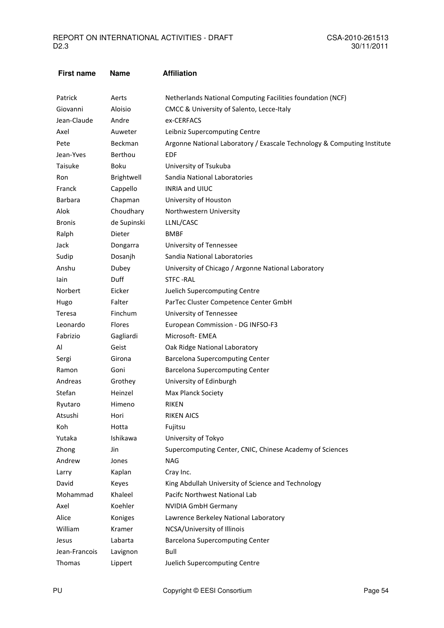| <b>First name</b> | <b>Name</b>   | <b>Affiliation</b>                                                      |
|-------------------|---------------|-------------------------------------------------------------------------|
| Patrick           | Aerts         | Netherlands National Computing Facilities foundation (NCF)              |
| Giovanni          | Aloisio       | CMCC & University of Salento, Lecce-Italy                               |
| Jean-Claude       | Andre         | ex-CERFACS                                                              |
| Axel              | Auweter       | Leibniz Supercomputing Centre                                           |
| Pete              | Beckman       | Argonne National Laboratory / Exascale Technology & Computing Institute |
| Jean-Yves         | Berthou       | <b>EDF</b>                                                              |
| Taisuke           | Boku          | University of Tsukuba                                                   |
| Ron               | Brightwell    | Sandia National Laboratories                                            |
| Franck            | Cappello      | <b>INRIA and UIUC</b>                                                   |
| Barbara           | Chapman       | University of Houston                                                   |
| Alok              | Choudhary     | Northwestern University                                                 |
| <b>Bronis</b>     | de Supinski   | LLNL/CASC                                                               |
| Ralph             | <b>Dieter</b> | <b>BMBF</b>                                                             |
| Jack              | Dongarra      | University of Tennessee                                                 |
| Sudip             | Dosanjh       | Sandia National Laboratories                                            |
| Anshu             | Dubey         | University of Chicago / Argonne National Laboratory                     |
| lain              | Duff          | <b>STFC-RAL</b>                                                         |
| Norbert           | Eicker        | Juelich Supercomputing Centre                                           |
| Hugo              | Falter        | ParTec Cluster Competence Center GmbH                                   |
| Teresa            | Finchum       | University of Tennessee                                                 |
| Leonardo          | Flores        | European Commission - DG INFSO-F3                                       |
| Fabrizio          | Gagliardi     | Microsoft-EMEA                                                          |
| Al                | Geist         | Oak Ridge National Laboratory                                           |
| Sergi             | Girona        | <b>Barcelona Supercomputing Center</b>                                  |
| Ramon             | Goni          | <b>Barcelona Supercomputing Center</b>                                  |
| Andreas           | Grothey       | University of Edinburgh                                                 |
| Stefan            | Heinzel       | Max Planck Society                                                      |
| Ryutaro           | Himeno        | <b>RIKEN</b>                                                            |
| Atsushi           | Hori          | <b>RIKEN AICS</b>                                                       |
| Koh               | Hotta         | Fujitsu                                                                 |
| Yutaka            | Ishikawa      | University of Tokyo                                                     |
| Zhong             | Jin           | Supercomputing Center, CNIC, Chinese Academy of Sciences                |
| Andrew            | Jones         | <b>NAG</b>                                                              |
| Larry             | Kaplan        | Cray Inc.                                                               |
| David             | Keyes         | King Abdullah University of Science and Technology                      |
| Mohammad          | Khaleel       | Pacifc Northwest National Lab                                           |
| Axel              | Koehler       | <b>NVIDIA GmbH Germany</b>                                              |
| Alice             | Koniges       | Lawrence Berkeley National Laboratory                                   |
| William           | Kramer        | NCSA/University of Illinois                                             |
| Jesus             | Labarta       | <b>Barcelona Supercomputing Center</b>                                  |
| Jean-Francois     | Lavignon      | Bull                                                                    |
| Thomas            | Lippert       | Juelich Supercomputing Centre                                           |